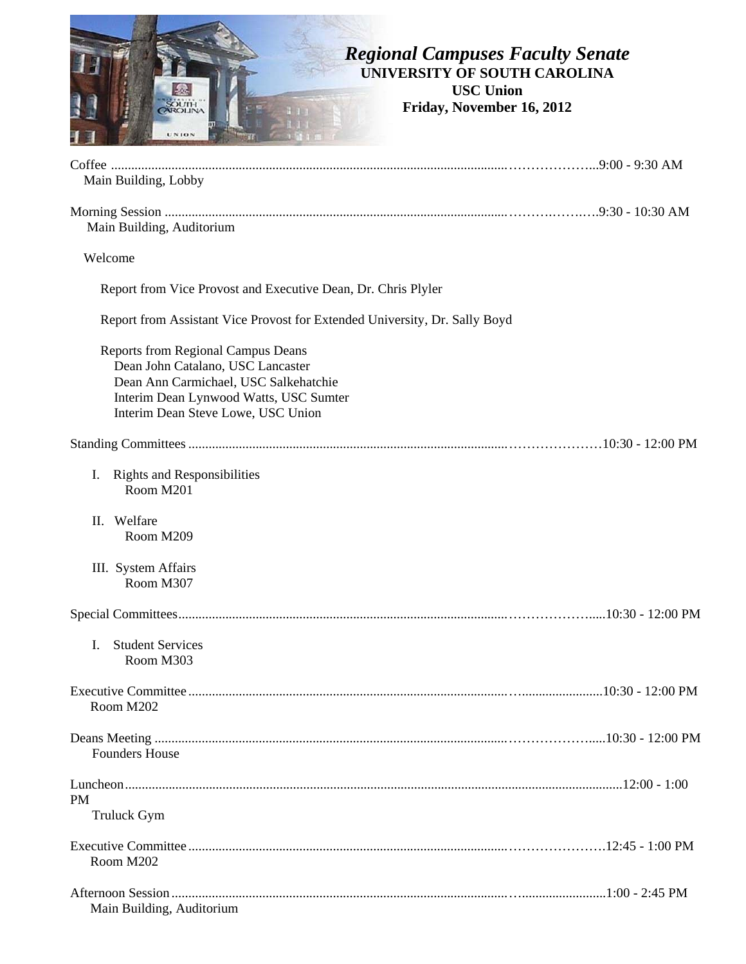

| Main Building, Lobby                                                                                                                                                                                    |  |
|---------------------------------------------------------------------------------------------------------------------------------------------------------------------------------------------------------|--|
| Main Building, Auditorium                                                                                                                                                                               |  |
| Welcome                                                                                                                                                                                                 |  |
| Report from Vice Provost and Executive Dean, Dr. Chris Plyler                                                                                                                                           |  |
| Report from Assistant Vice Provost for Extended University, Dr. Sally Boyd                                                                                                                              |  |
| <b>Reports from Regional Campus Deans</b><br>Dean John Catalano, USC Lancaster<br>Dean Ann Carmichael, USC Salkehatchie<br>Interim Dean Lynwood Watts, USC Sumter<br>Interim Dean Steve Lowe, USC Union |  |
|                                                                                                                                                                                                         |  |
| <b>Rights and Responsibilities</b><br>Ι.<br>Room M201                                                                                                                                                   |  |
| Welfare<br>П.<br>Room M209                                                                                                                                                                              |  |
| III. System Affairs<br>Room M307                                                                                                                                                                        |  |
|                                                                                                                                                                                                         |  |
| <b>Student Services</b><br>I.<br>Room M303                                                                                                                                                              |  |
| Room M202                                                                                                                                                                                               |  |
| <b>Founders House</b>                                                                                                                                                                                   |  |
| <b>PM</b><br>Truluck Gym                                                                                                                                                                                |  |
| Room M202                                                                                                                                                                                               |  |
| Main Building, Auditorium                                                                                                                                                                               |  |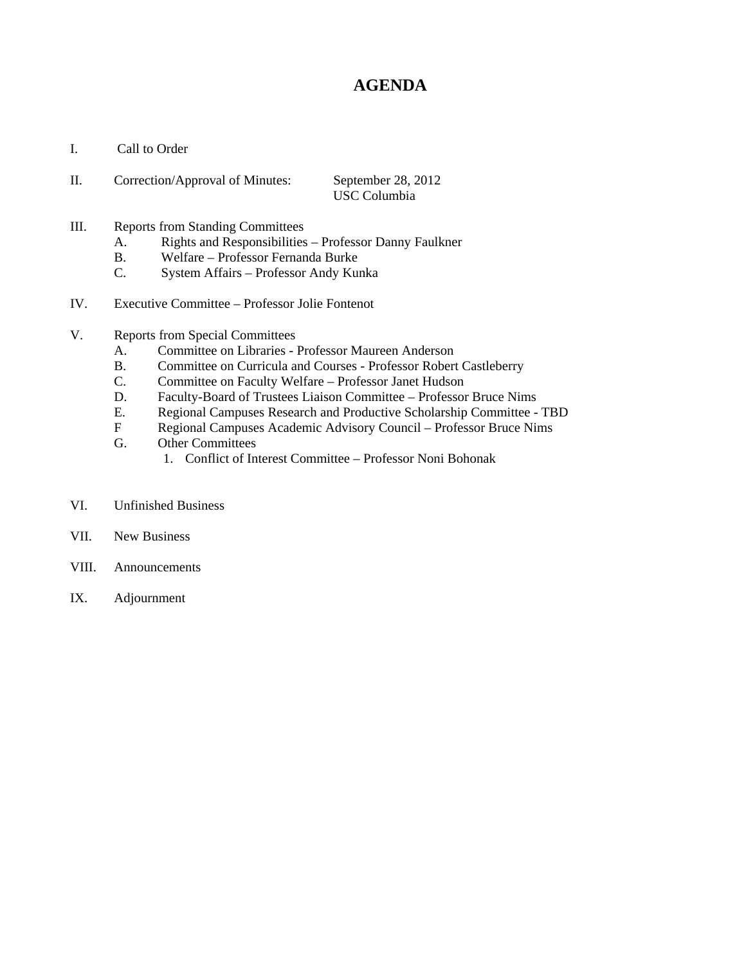## **AGENDA**

I. Call to Order

| П. | Correction/Approval of Minutes: | September 28, 2012 |
|----|---------------------------------|--------------------|
|    |                                 | USC Columbia       |

- III. Reports from Standing Committees
	- A. Rights and Responsibilities Professor Danny Faulkner
	- B. Welfare Professor Fernanda Burke
	- C. System Affairs Professor Andy Kunka
- IV. Executive Committee Professor Jolie Fontenot
- V. Reports from Special Committees
	- A. Committee on Libraries Professor Maureen Anderson
	- B. Committee on Curricula and Courses Professor Robert Castleberry
	- C. Committee on Faculty Welfare Professor Janet Hudson
	- D. Faculty-Board of Trustees Liaison Committee Professor Bruce Nims
	- E. Regional Campuses Research and Productive Scholarship Committee TBD
	- F Regional Campuses Academic Advisory Council Professor Bruce Nims<br>G. Other Committees
	- Other Committees
		- 1. Conflict of Interest Committee Professor Noni Bohonak
- VI. Unfinished Business
- VII. New Business
- VIII. Announcements
- IX. Adjournment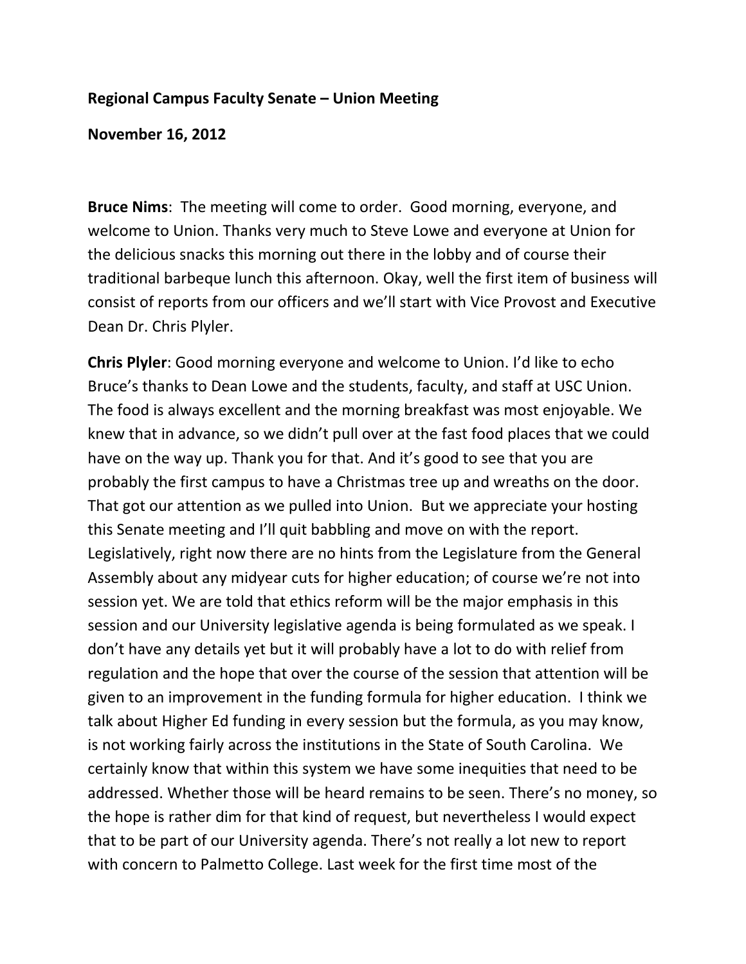#### **Regional Campus Faculty Senate – Union Meeting**

**November 16, 2012**

**Bruce Nims**: The meeting will come to order. Good morning, everyone, and welcome to Union. Thanks very much to Steve Lowe and everyone at Union for the delicious snacks this morning out there in the lobby and of course their traditional barbeque lunch this afternoon. Okay, well the first item of business will consist of reports from our officers and we'll start with Vice Provost and Executive Dean Dr. Chris Plyler.

**Chris Plyler**: Good morning everyone and welcome to Union. I'd like to echo Bruce's thanks to Dean Lowe and the students, faculty, and staff at USC Union. The food is always excellent and the morning breakfast was most enjoyable. We knew that in advance, so we didn't pull over at the fast food places that we could have on the way up. Thank you for that. And it's good to see that you are probably the first campus to have a Christmas tree up and wreaths on the door. That got our attention as we pulled into Union. But we appreciate your hosting this Senate meeting and I'll quit babbling and move on with the report. Legislatively, right now there are no hints from the Legislature from the General Assembly about any midyear cuts for higher education; of course we're not into session yet. We are told that ethics reform will be the major emphasis in this session and our University legislative agenda is being formulated as we speak. I don't have any details yet but it will probably have a lot to do with relief from regulation and the hope that over the course of the session that attention will be given to an improvement in the funding formula for higher education. I think we talk about Higher Ed funding in every session but the formula, as you may know, is not working fairly across the institutions in the State of South Carolina. We certainly know that within this system we have some inequities that need to be addressed. Whether those will be heard remains to be seen. There's no money, so the hope is rather dim for that kind of request, but nevertheless I would expect that to be part of our University agenda. There's not really a lot new to report with concern to Palmetto College. Last week for the first time most of the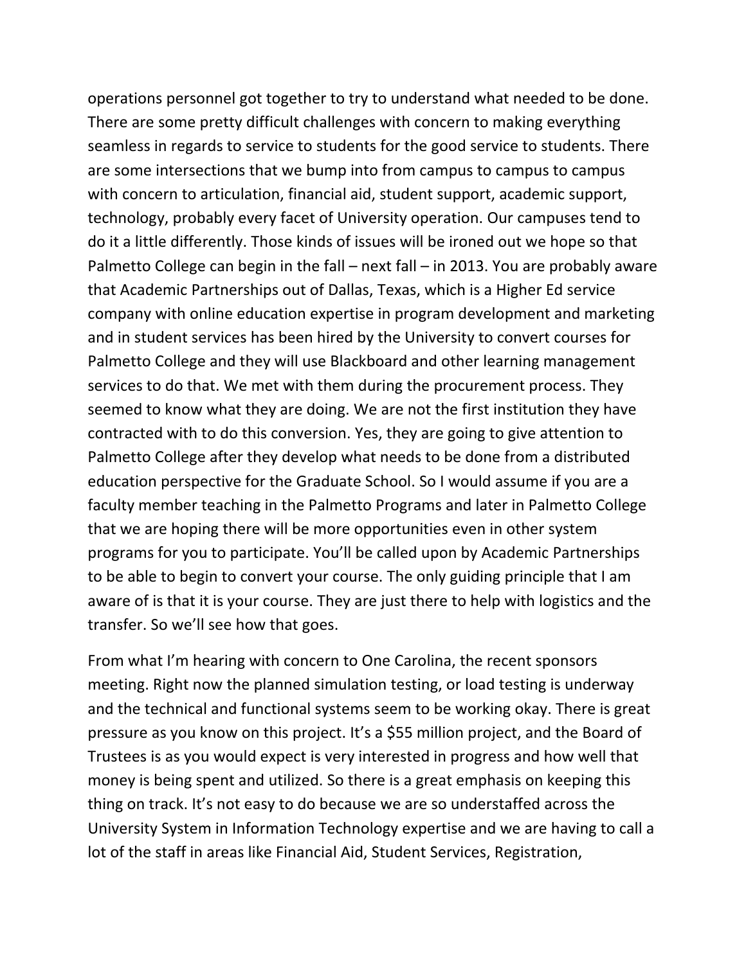operations personnel got together to try to understand what needed to be done. There are some pretty difficult challenges with concern to making everything seamless in regards to service to students for the good service to students. There are some intersections that we bump into from campus to campus to campus with concern to articulation, financial aid, student support, academic support, technology, probably every facet of University operation. Our campuses tend to do it a little differently. Those kinds of issues will be ironed out we hope so that Palmetto College can begin in the fall – next fall – in 2013. You are probably aware that Academic Partnerships out of Dallas, Texas, which is a Higher Ed service company with online education expertise in program development and marketing and in student services has been hired by the University to convert courses for Palmetto College and they will use Blackboard and other learning management services to do that. We met with them during the procurement process. They seemed to know what they are doing. We are not the first institution they have contracted with to do this conversion. Yes, they are going to give attention to Palmetto College after they develop what needs to be done from a distributed education perspective for the Graduate School. So I would assume if you are a faculty member teaching in the Palmetto Programs and later in Palmetto College that we are hoping there will be more opportunities even in other system programs for you to participate. You'll be called upon by Academic Partnerships to be able to begin to convert your course. The only guiding principle that I am aware of is that it is your course. They are just there to help with logistics and the transfer. So we'll see how that goes.

From what I'm hearing with concern to One Carolina, the recent sponsors meeting. Right now the planned simulation testing, or load testing is underway and the technical and functional systems seem to be working okay. There is great pressure as you know on this project. It's a \$55 million project, and the Board of Trustees is as you would expect is very interested in progress and how well that money is being spent and utilized. So there is a great emphasis on keeping this thing on track. It's not easy to do because we are so understaffed across the University System in Information Technology expertise and we are having to call a lot of the staff in areas like Financial Aid, Student Services, Registration,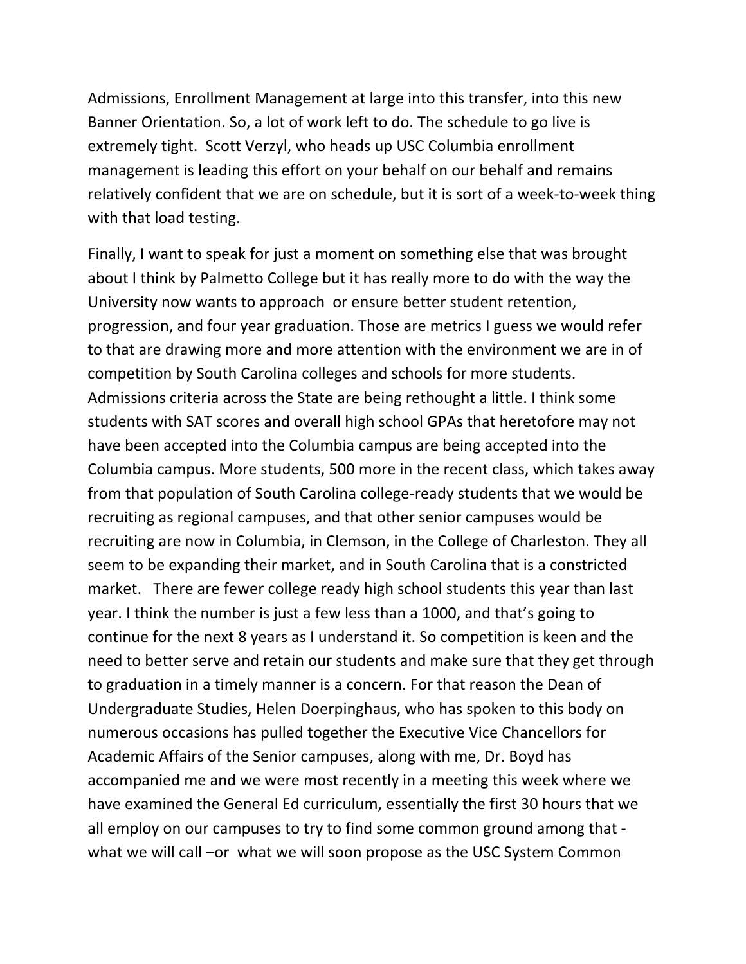Admissions, Enrollment Management at large into this transfer, into this new Banner Orientation. So, a lot of work left to do. The schedule to go live is extremely tight. Scott Verzyl, who heads up USC Columbia enrollment management is leading this effort on your behalf on our behalf and remains relatively confident that we are on schedule, but it is sort of a week‐to‐week thing with that load testing.

Finally, I want to speak for just a moment on something else that was brought about I think by Palmetto College but it has really more to do with the way the University now wants to approach or ensure better student retention, progression, and four year graduation. Those are metrics I guess we would refer to that are drawing more and more attention with the environment we are in of competition by South Carolina colleges and schools for more students. Admissions criteria across the State are being rethought a little. I think some students with SAT scores and overall high school GPAs that heretofore may not have been accepted into the Columbia campus are being accepted into the Columbia campus. More students, 500 more in the recent class, which takes away from that population of South Carolina college‐ready students that we would be recruiting as regional campuses, and that other senior campuses would be recruiting are now in Columbia, in Clemson, in the College of Charleston. They all seem to be expanding their market, and in South Carolina that is a constricted market. There are fewer college ready high school students this year than last year. I think the number is just a few less than a 1000, and that's going to continue for the next 8 years as I understand it. So competition is keen and the need to better serve and retain our students and make sure that they get through to graduation in a timely manner is a concern. For that reason the Dean of Undergraduate Studies, Helen Doerpinghaus, who has spoken to this body on numerous occasions has pulled together the Executive Vice Chancellors for Academic Affairs of the Senior campuses, along with me, Dr. Boyd has accompanied me and we were most recently in a meeting this week where we have examined the General Ed curriculum, essentially the first 30 hours that we all employ on our campuses to try to find some common ground among that ‐ what we will call –or what we will soon propose as the USC System Common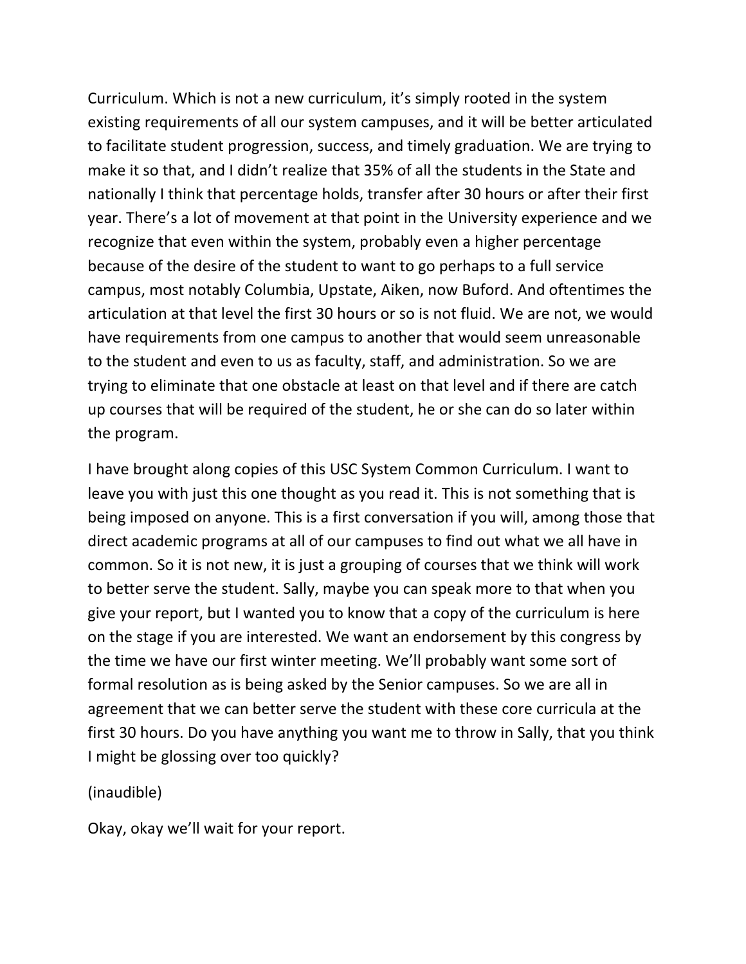Curriculum. Which is not a new curriculum, it's simply rooted in the system existing requirements of all our system campuses, and it will be better articulated to facilitate student progression, success, and timely graduation. We are trying to make it so that, and I didn't realize that 35% of all the students in the State and nationally I think that percentage holds, transfer after 30 hours or after their first year. There's a lot of movement at that point in the University experience and we recognize that even within the system, probably even a higher percentage because of the desire of the student to want to go perhaps to a full service campus, most notably Columbia, Upstate, Aiken, now Buford. And oftentimes the articulation at that level the first 30 hours or so is not fluid. We are not, we would have requirements from one campus to another that would seem unreasonable to the student and even to us as faculty, staff, and administration. So we are trying to eliminate that one obstacle at least on that level and if there are catch up courses that will be required of the student, he or she can do so later within the program.

I have brought along copies of this USC System Common Curriculum. I want to leave you with just this one thought as you read it. This is not something that is being imposed on anyone. This is a first conversation if you will, among those that direct academic programs at all of our campuses to find out what we all have in common. So it is not new, it is just a grouping of courses that we think will work to better serve the student. Sally, maybe you can speak more to that when you give your report, but I wanted you to know that a copy of the curriculum is here on the stage if you are interested. We want an endorsement by this congress by the time we have our first winter meeting. We'll probably want some sort of formal resolution as is being asked by the Senior campuses. So we are all in agreement that we can better serve the student with these core curricula at the first 30 hours. Do you have anything you want me to throw in Sally, that you think I might be glossing over too quickly?

(inaudible)

Okay, okay we'll wait for your report.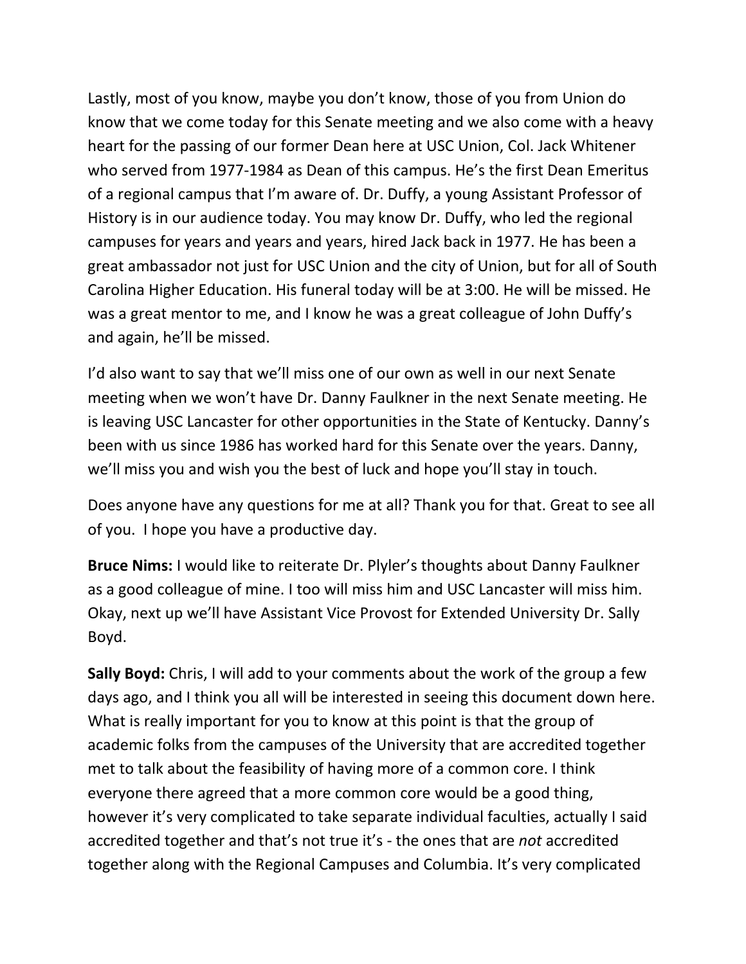Lastly, most of you know, maybe you don't know, those of you from Union do know that we come today for this Senate meeting and we also come with a heavy heart for the passing of our former Dean here at USC Union, Col. Jack Whitener who served from 1977‐1984 as Dean of this campus. He's the first Dean Emeritus of a regional campus that I'm aware of. Dr. Duffy, a young Assistant Professor of History is in our audience today. You may know Dr. Duffy, who led the regional campuses for years and years and years, hired Jack back in 1977. He has been a great ambassador not just for USC Union and the city of Union, but for all of South Carolina Higher Education. His funeral today will be at 3:00. He will be missed. He was a great mentor to me, and I know he was a great colleague of John Duffy's and again, he'll be missed.

I'd also want to say that we'll miss one of our own as well in our next Senate meeting when we won't have Dr. Danny Faulkner in the next Senate meeting. He is leaving USC Lancaster for other opportunities in the State of Kentucky. Danny's been with us since 1986 has worked hard for this Senate over the years. Danny, we'll miss you and wish you the best of luck and hope you'll stay in touch.

Does anyone have any questions for me at all? Thank you for that. Great to see all of you. I hope you have a productive day.

**Bruce Nims:** I would like to reiterate Dr. Plyler's thoughts about Danny Faulkner as a good colleague of mine. I too will miss him and USC Lancaster will miss him. Okay, next up we'll have Assistant Vice Provost for Extended University Dr. Sally Boyd.

**Sally Boyd:** Chris, I will add to your comments about the work of the group a few days ago, and I think you all will be interested in seeing this document down here. What is really important for you to know at this point is that the group of academic folks from the campuses of the University that are accredited together met to talk about the feasibility of having more of a common core. I think everyone there agreed that a more common core would be a good thing, however it's very complicated to take separate individual faculties, actually I said accredited together and that's not true it's ‐ the ones that are *not* accredited together along with the Regional Campuses and Columbia. It's very complicated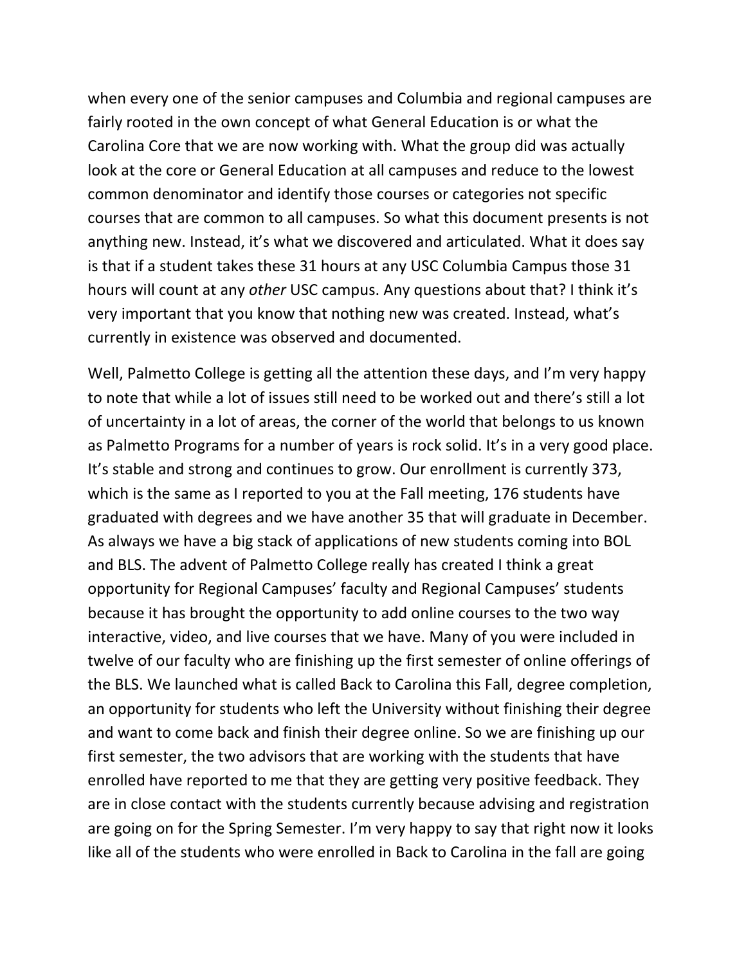when every one of the senior campuses and Columbia and regional campuses are fairly rooted in the own concept of what General Education is or what the Carolina Core that we are now working with. What the group did was actually look at the core or General Education at all campuses and reduce to the lowest common denominator and identify those courses or categories not specific courses that are common to all campuses. So what this document presents is not anything new. Instead, it's what we discovered and articulated. What it does say is that if a student takes these 31 hours at any USC Columbia Campus those 31 hours will count at any *other* USC campus. Any questions about that? I think it's very important that you know that nothing new was created. Instead, what's currently in existence was observed and documented.

Well, Palmetto College is getting all the attention these days, and I'm very happy to note that while a lot of issues still need to be worked out and there's still a lot of uncertainty in a lot of areas, the corner of the world that belongs to us known as Palmetto Programs for a number of years is rock solid. It's in a very good place. It's stable and strong and continues to grow. Our enrollment is currently 373, which is the same as I reported to you at the Fall meeting, 176 students have graduated with degrees and we have another 35 that will graduate in December. As always we have a big stack of applications of new students coming into BOL and BLS. The advent of Palmetto College really has created I think a great opportunity for Regional Campuses' faculty and Regional Campuses' students because it has brought the opportunity to add online courses to the two way interactive, video, and live courses that we have. Many of you were included in twelve of our faculty who are finishing up the first semester of online offerings of the BLS. We launched what is called Back to Carolina this Fall, degree completion, an opportunity for students who left the University without finishing their degree and want to come back and finish their degree online. So we are finishing up our first semester, the two advisors that are working with the students that have enrolled have reported to me that they are getting very positive feedback. They are in close contact with the students currently because advising and registration are going on for the Spring Semester. I'm very happy to say that right now it looks like all of the students who were enrolled in Back to Carolina in the fall are going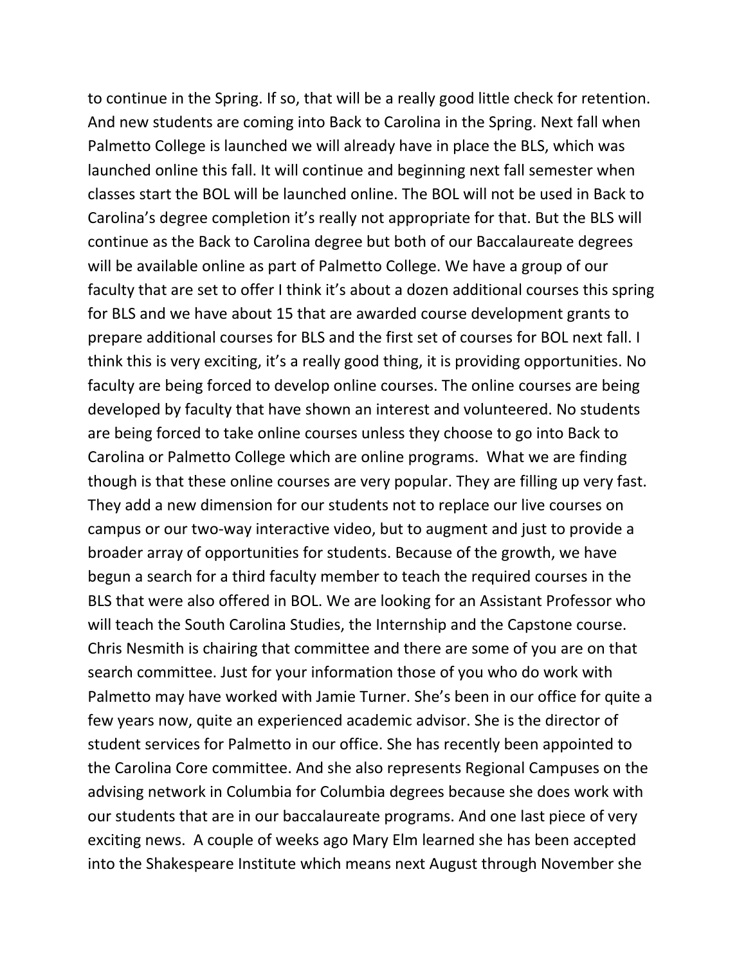to continue in the Spring. If so, that will be a really good little check for retention. And new students are coming into Back to Carolina in the Spring. Next fall when Palmetto College is launched we will already have in place the BLS, which was launched online this fall. It will continue and beginning next fall semester when classes start the BOL will be launched online. The BOL will not be used in Back to Carolina's degree completion it's really not appropriate for that. But the BLS will continue as the Back to Carolina degree but both of our Baccalaureate degrees will be available online as part of Palmetto College. We have a group of our faculty that are set to offer I think it's about a dozen additional courses this spring for BLS and we have about 15 that are awarded course development grants to prepare additional courses for BLS and the first set of courses for BOL next fall. I think this is very exciting, it's a really good thing, it is providing opportunities. No faculty are being forced to develop online courses. The online courses are being developed by faculty that have shown an interest and volunteered. No students are being forced to take online courses unless they choose to go into Back to Carolina or Palmetto College which are online programs. What we are finding though is that these online courses are very popular. They are filling up very fast. They add a new dimension for our students not to replace our live courses on campus or our two‐way interactive video, but to augment and just to provide a broader array of opportunities for students. Because of the growth, we have begun a search for a third faculty member to teach the required courses in the BLS that were also offered in BOL. We are looking for an Assistant Professor who will teach the South Carolina Studies, the Internship and the Capstone course. Chris Nesmith is chairing that committee and there are some of you are on that search committee. Just for your information those of you who do work with Palmetto may have worked with Jamie Turner. She's been in our office for quite a few years now, quite an experienced academic advisor. She is the director of student services for Palmetto in our office. She has recently been appointed to the Carolina Core committee. And she also represents Regional Campuses on the advising network in Columbia for Columbia degrees because she does work with our students that are in our baccalaureate programs. And one last piece of very exciting news. A couple of weeks ago Mary Elm learned she has been accepted into the Shakespeare Institute which means next August through November she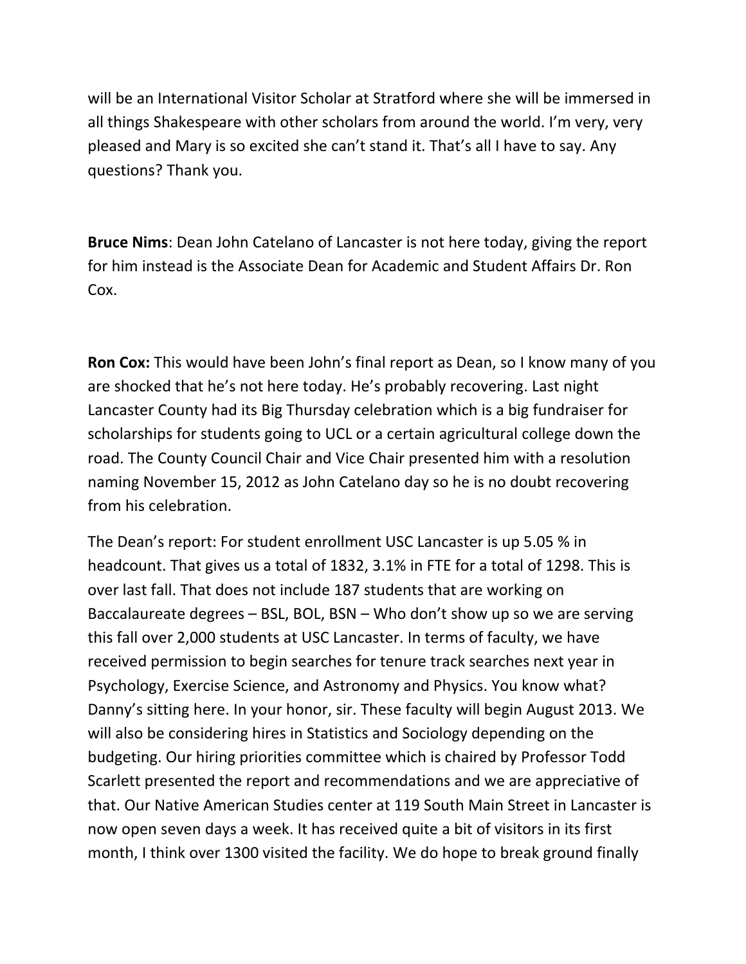will be an International Visitor Scholar at Stratford where she will be immersed in all things Shakespeare with other scholars from around the world. I'm very, very pleased and Mary is so excited she can't stand it. That's all I have to say. Any questions? Thank you.

**Bruce Nims**: Dean John Catelano of Lancaster is not here today, giving the report for him instead is the Associate Dean for Academic and Student Affairs Dr. Ron Cox.

**Ron Cox:** This would have been John's final report as Dean, so I know many of you are shocked that he's not here today. He's probably recovering. Last night Lancaster County had its Big Thursday celebration which is a big fundraiser for scholarships for students going to UCL or a certain agricultural college down the road. The County Council Chair and Vice Chair presented him with a resolution naming November 15, 2012 as John Catelano day so he is no doubt recovering from his celebration.

The Dean's report: For student enrollment USC Lancaster is up 5.05 % in headcount. That gives us a total of 1832, 3.1% in FTE for a total of 1298. This is over last fall. That does not include 187 students that are working on Baccalaureate degrees – BSL, BOL, BSN – Who don't show up so we are serving this fall over 2,000 students at USC Lancaster. In terms of faculty, we have received permission to begin searches for tenure track searches next year in Psychology, Exercise Science, and Astronomy and Physics. You know what? Danny's sitting here. In your honor, sir. These faculty will begin August 2013. We will also be considering hires in Statistics and Sociology depending on the budgeting. Our hiring priorities committee which is chaired by Professor Todd Scarlett presented the report and recommendations and we are appreciative of that. Our Native American Studies center at 119 South Main Street in Lancaster is now open seven days a week. It has received quite a bit of visitors in its first month, I think over 1300 visited the facility. We do hope to break ground finally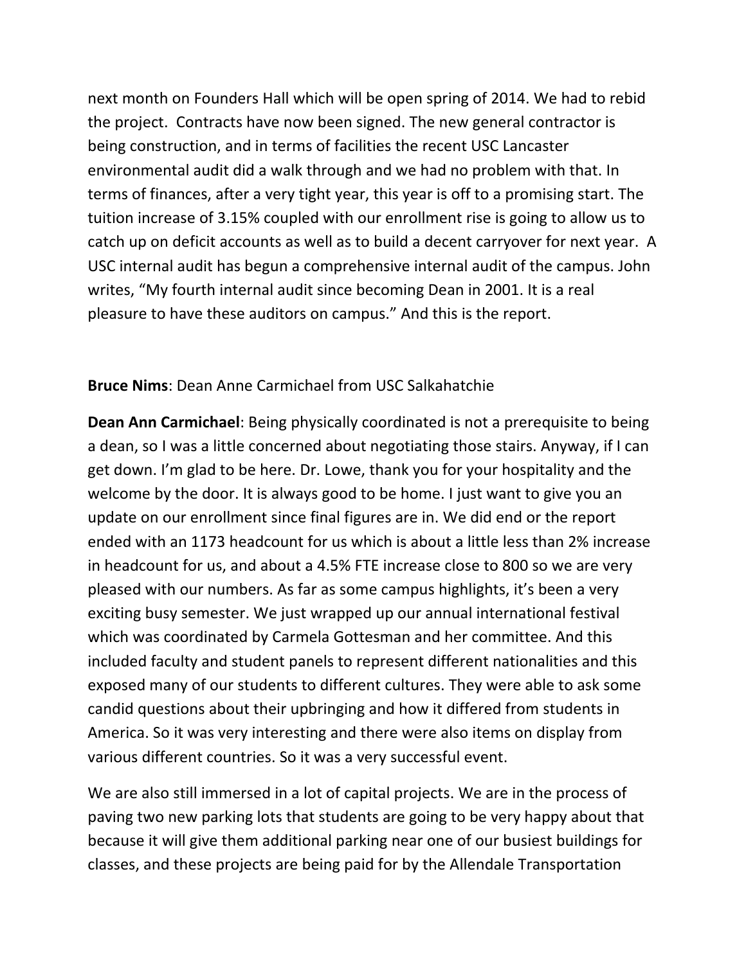next month on Founders Hall which will be open spring of 2014. We had to rebid the project. Contracts have now been signed. The new general contractor is being construction, and in terms of facilities the recent USC Lancaster environmental audit did a walk through and we had no problem with that. In terms of finances, after a very tight year, this year is off to a promising start. The tuition increase of 3.15% coupled with our enrollment rise is going to allow us to catch up on deficit accounts as well as to build a decent carryover for next year. A USC internal audit has begun a comprehensive internal audit of the campus. John writes, "My fourth internal audit since becoming Dean in 2001. It is a real pleasure to have these auditors on campus." And this is the report.

#### **Bruce Nims**: Dean Anne Carmichael from USC Salkahatchie

**Dean Ann Carmichael**: Being physically coordinated is not a prerequisite to being a dean, so I was a little concerned about negotiating those stairs. Anyway, if I can get down. I'm glad to be here. Dr. Lowe, thank you for your hospitality and the welcome by the door. It is always good to be home. I just want to give you an update on our enrollment since final figures are in. We did end or the report ended with an 1173 headcount for us which is about a little less than 2% increase in headcount for us, and about a 4.5% FTE increase close to 800 so we are very pleased with our numbers. As far as some campus highlights, it's been a very exciting busy semester. We just wrapped up our annual international festival which was coordinated by Carmela Gottesman and her committee. And this included faculty and student panels to represent different nationalities and this exposed many of our students to different cultures. They were able to ask some candid questions about their upbringing and how it differed from students in America. So it was very interesting and there were also items on display from various different countries. So it was a very successful event.

We are also still immersed in a lot of capital projects. We are in the process of paving two new parking lots that students are going to be very happy about that because it will give them additional parking near one of our busiest buildings for classes, and these projects are being paid for by the Allendale Transportation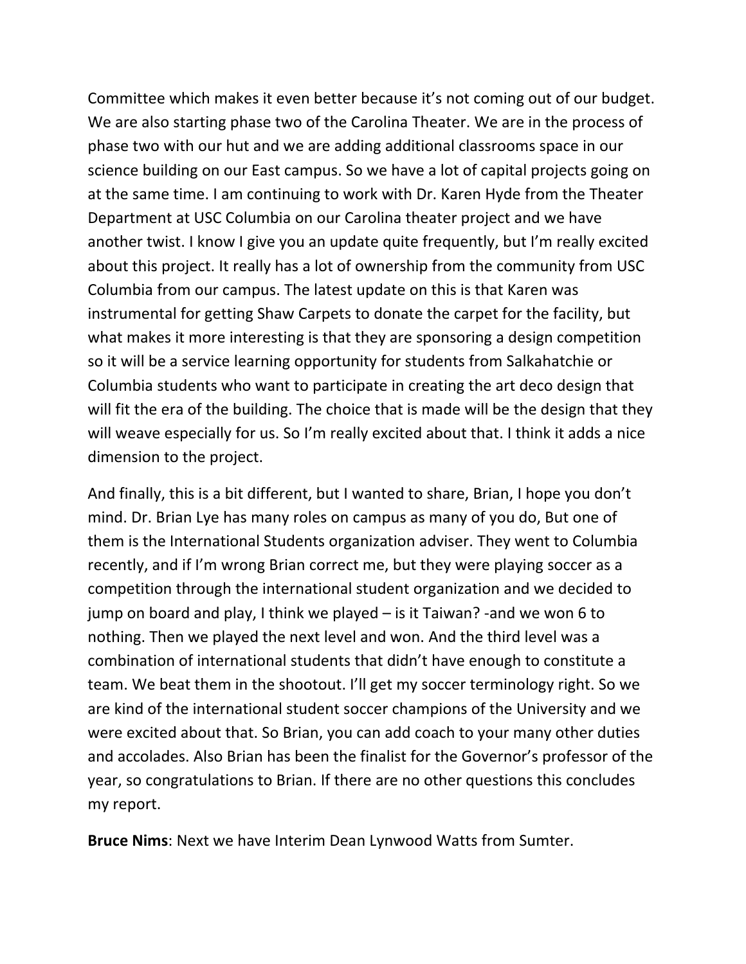Committee which makes it even better because it's not coming out of our budget. We are also starting phase two of the Carolina Theater. We are in the process of phase two with our hut and we are adding additional classrooms space in our science building on our East campus. So we have a lot of capital projects going on at the same time. I am continuing to work with Dr. Karen Hyde from the Theater Department at USC Columbia on our Carolina theater project and we have another twist. I know I give you an update quite frequently, but I'm really excited about this project. It really has a lot of ownership from the community from USC Columbia from our campus. The latest update on this is that Karen was instrumental for getting Shaw Carpets to donate the carpet for the facility, but what makes it more interesting is that they are sponsoring a design competition so it will be a service learning opportunity for students from Salkahatchie or Columbia students who want to participate in creating the art deco design that will fit the era of the building. The choice that is made will be the design that they will weave especially for us. So I'm really excited about that. I think it adds a nice dimension to the project.

And finally, this is a bit different, but I wanted to share, Brian, I hope you don't mind. Dr. Brian Lye has many roles on campus as many of you do, But one of them is the International Students organization adviser. They went to Columbia recently, and if I'm wrong Brian correct me, but they were playing soccer as a competition through the international student organization and we decided to jump on board and play, I think we played – is it Taiwan? ‐and we won 6 to nothing. Then we played the next level and won. And the third level was a combination of international students that didn't have enough to constitute a team. We beat them in the shootout. I'll get my soccer terminology right. So we are kind of the international student soccer champions of the University and we were excited about that. So Brian, you can add coach to your many other duties and accolades. Also Brian has been the finalist for the Governor's professor of the year, so congratulations to Brian. If there are no other questions this concludes my report.

**Bruce Nims**: Next we have Interim Dean Lynwood Watts from Sumter.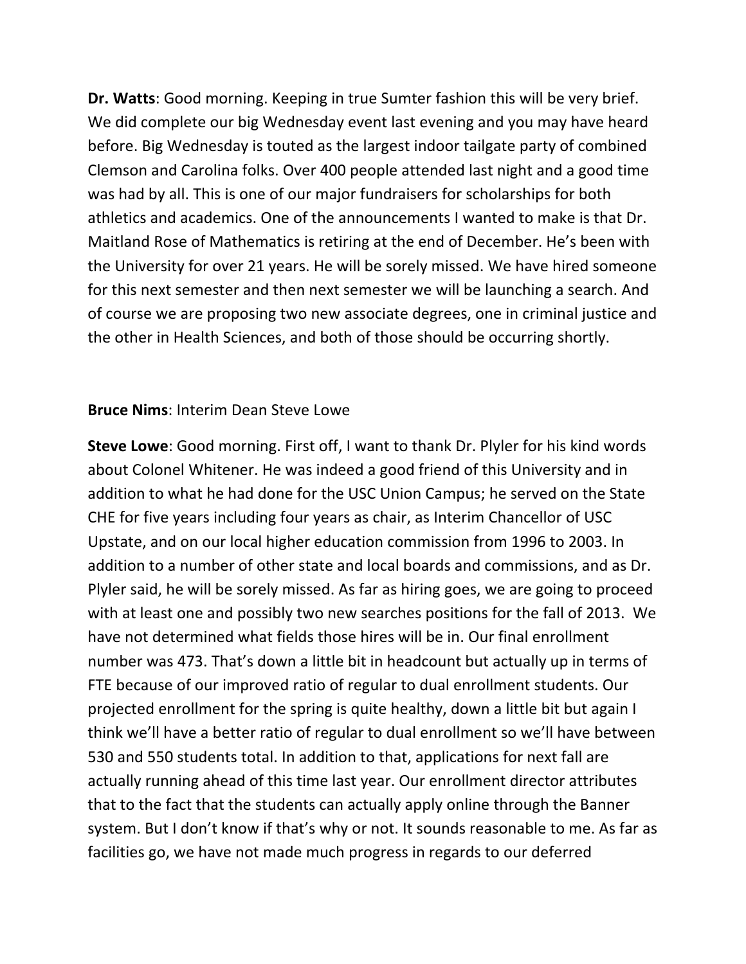**Dr. Watts**: Good morning. Keeping in true Sumter fashion this will be very brief. We did complete our big Wednesday event last evening and you may have heard before. Big Wednesday is touted as the largest indoor tailgate party of combined Clemson and Carolina folks. Over 400 people attended last night and a good time was had by all. This is one of our major fundraisers for scholarships for both athletics and academics. One of the announcements I wanted to make is that Dr. Maitland Rose of Mathematics is retiring at the end of December. He's been with the University for over 21 years. He will be sorely missed. We have hired someone for this next semester and then next semester we will be launching a search. And of course we are proposing two new associate degrees, one in criminal justice and the other in Health Sciences, and both of those should be occurring shortly.

#### **Bruce Nims**: Interim Dean Steve Lowe

**Steve Lowe**: Good morning. First off, I want to thank Dr. Plyler for his kind words about Colonel Whitener. He was indeed a good friend of this University and in addition to what he had done for the USC Union Campus; he served on the State CHE for five years including four years as chair, as Interim Chancellor of USC Upstate, and on our local higher education commission from 1996 to 2003. In addition to a number of other state and local boards and commissions, and as Dr. Plyler said, he will be sorely missed. As far as hiring goes, we are going to proceed with at least one and possibly two new searches positions for the fall of 2013. We have not determined what fields those hires will be in. Our final enrollment number was 473. That's down a little bit in headcount but actually up in terms of FTE because of our improved ratio of regular to dual enrollment students. Our projected enrollment for the spring is quite healthy, down a little bit but again I think we'll have a better ratio of regular to dual enrollment so we'll have between 530 and 550 students total. In addition to that, applications for next fall are actually running ahead of this time last year. Our enrollment director attributes that to the fact that the students can actually apply online through the Banner system. But I don't know if that's why or not. It sounds reasonable to me. As far as facilities go, we have not made much progress in regards to our deferred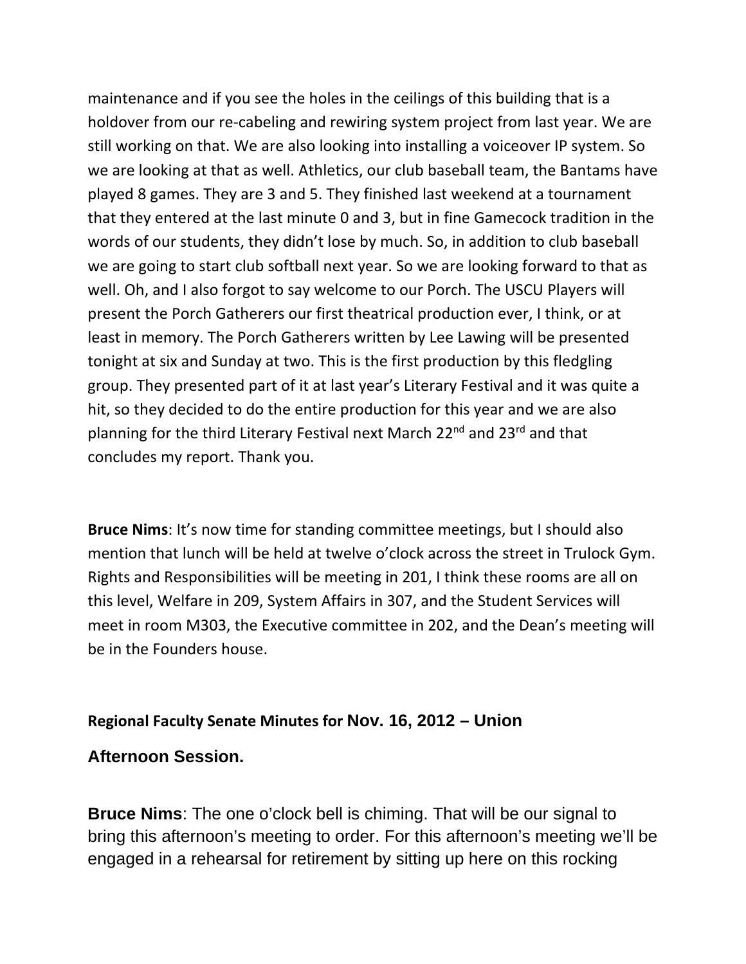maintenance and if you see the holes in the ceilings of this building that is a holdover from our re-cabeling and rewiring system project from last year. We are still working on that. We are also looking into installing a voiceover IP system. So we are looking at that as well. Athletics, our club baseball team, the Bantams have played 8 games. They are 3 and 5. They finished last weekend at a tournament that they entered at the last minute 0 and 3, but in fine Gamecock tradition in the words of our students, they didn't lose by much. So, in addition to club baseball we are going to start club softball next year. So we are looking forward to that as well. Oh, and I also forgot to say welcome to our Porch. The USCU Players will present the Porch Gatherers our first theatrical production ever, I think, or at least in memory. The Porch Gatherers written by Lee Lawing will be presented tonight at six and Sunday at two. This is the first production by this fledgling group. They presented part of it at last year's Literary Festival and it was quite a hit, so they decided to do the entire production for this year and we are also planning for the third Literary Festival next March 22<sup>nd</sup> and 23<sup>rd</sup> and that concludes my report. Thank you.

**Bruce Nims**: It's now time for standing committee meetings, but I should also mention that lunch will be held at twelve o'clock across the street in Trulock Gym. Rights and Responsibilities will be meeting in 201, I think these rooms are all on this level, Welfare in 209, System Affairs in 307, and the Student Services will meet in room M303, the Executive committee in 202, and the Dean's meeting will be in the Founders house.

#### **Regional Faculty Senate Minutes for Nov. 16, 2012 – Union**

#### **Afternoon Session.**

**Bruce Nims**: The one o'clock bell is chiming. That will be our signal to bring this afternoon's meeting to order. For this afternoon's meeting we'll be engaged in a rehearsal for retirement by sitting up here on this rocking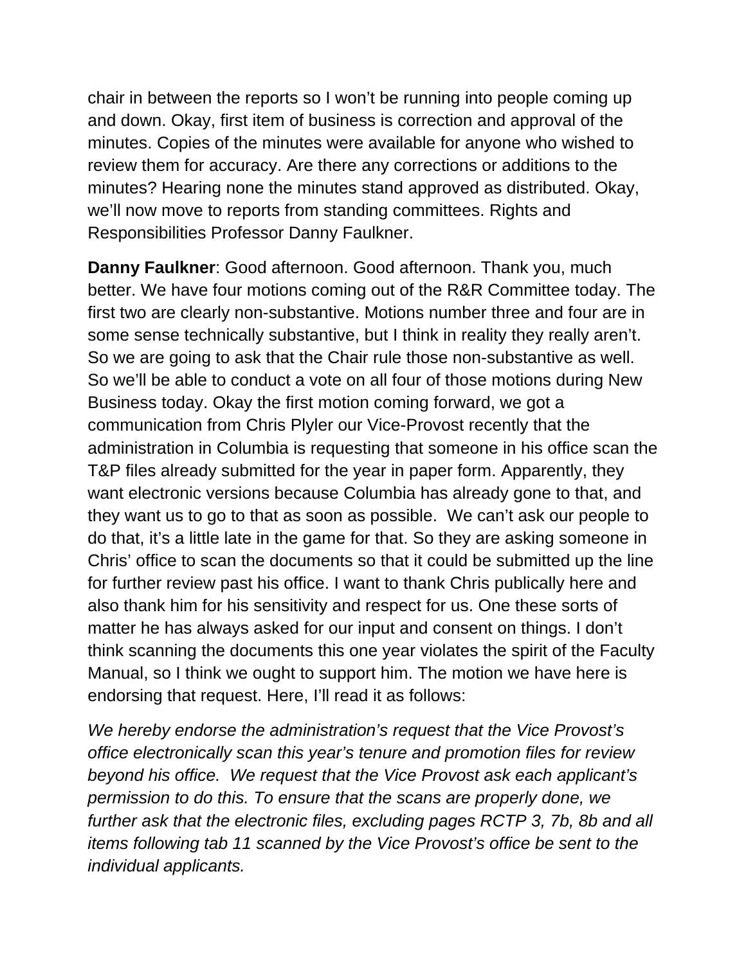chair in between the reports so I won't be running into people coming up and down. Okay, first item of business is correction and approval of the minutes. Copies of the minutes were available for anyone who wished to review them for accuracy. Are there any corrections or additions to the minutes? Hearing none the minutes stand approved as distributed. Okay, we'll now move to reports from standing committees. Rights and Responsibilities Professor Danny Faulkner.

**Danny Faulkner**: Good afternoon. Good afternoon. Thank you, much better. We have four motions coming out of the R&R Committee today. The first two are clearly non-substantive. Motions number three and four are in some sense technically substantive, but I think in reality they really aren't. So we are going to ask that the Chair rule those non-substantive as well. So we'll be able to conduct a vote on all four of those motions during New Business today. Okay the first motion coming forward, we got a communication from Chris Plyler our Vice-Provost recently that the administration in Columbia is requesting that someone in his office scan the T&P files already submitted for the year in paper form. Apparently, they want electronic versions because Columbia has already gone to that, and they want us to go to that as soon as possible. We can't ask our people to do that, it's a little late in the game for that. So they are asking someone in Chris' office to scan the documents so that it could be submitted up the line for further review past his office. I want to thank Chris publically here and also thank him for his sensitivity and respect for us. One these sorts of matter he has always asked for our input and consent on things. I don't think scanning the documents this one year violates the spirit of the Faculty Manual, so I think we ought to support him. The motion we have here is endorsing that request. Here, I'll read it as follows:

*We hereby endorse the administration's request that the Vice Provost's office electronically scan this year's tenure and promotion files for review beyond his office. We request that the Vice Provost ask each applicant's permission to do this. To ensure that the scans are properly done, we further ask that the electronic files, excluding pages RCTP 3, 7b, 8b and all items following tab 11 scanned by the Vice Provost's office be sent to the individual applicants.*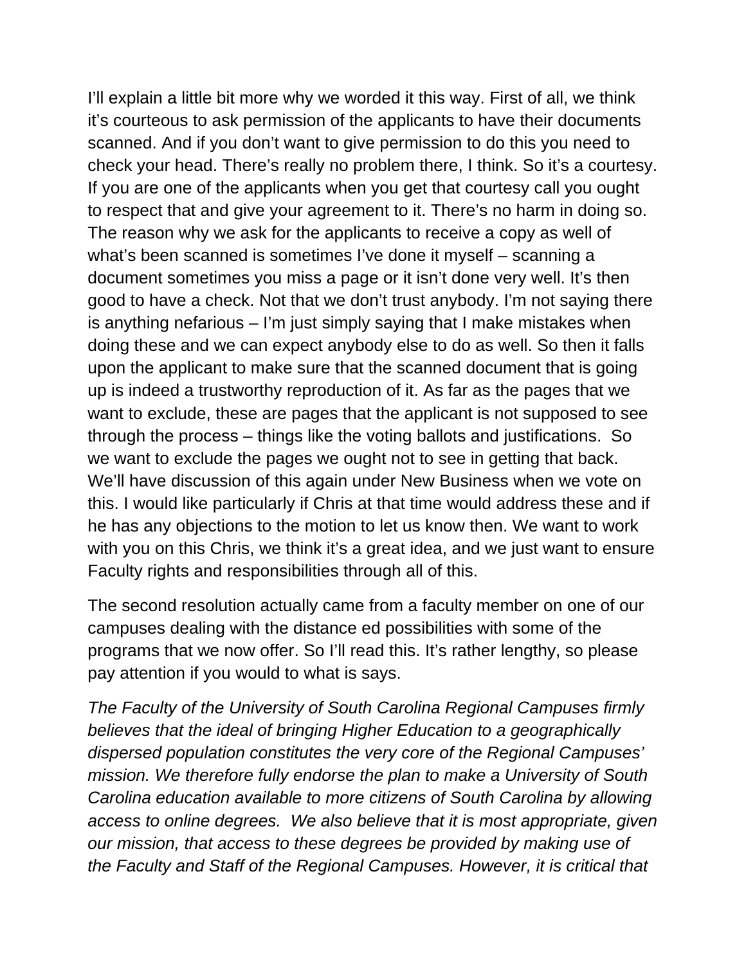I'll explain a little bit more why we worded it this way. First of all, we think it's courteous to ask permission of the applicants to have their documents scanned. And if you don't want to give permission to do this you need to check your head. There's really no problem there, I think. So it's a courtesy. If you are one of the applicants when you get that courtesy call you ought to respect that and give your agreement to it. There's no harm in doing so. The reason why we ask for the applicants to receive a copy as well of what's been scanned is sometimes I've done it myself – scanning a document sometimes you miss a page or it isn't done very well. It's then good to have a check. Not that we don't trust anybody. I'm not saying there is anything nefarious – I'm just simply saying that I make mistakes when doing these and we can expect anybody else to do as well. So then it falls upon the applicant to make sure that the scanned document that is going up is indeed a trustworthy reproduction of it. As far as the pages that we want to exclude, these are pages that the applicant is not supposed to see through the process – things like the voting ballots and justifications. So we want to exclude the pages we ought not to see in getting that back. We'll have discussion of this again under New Business when we vote on this. I would like particularly if Chris at that time would address these and if he has any objections to the motion to let us know then. We want to work with you on this Chris, we think it's a great idea, and we just want to ensure Faculty rights and responsibilities through all of this.

The second resolution actually came from a faculty member on one of our campuses dealing with the distance ed possibilities with some of the programs that we now offer. So I'll read this. It's rather lengthy, so please pay attention if you would to what is says.

*The Faculty of the University of South Carolina Regional Campuses firmly believes that the ideal of bringing Higher Education to a geographically dispersed population constitutes the very core of the Regional Campuses' mission. We therefore fully endorse the plan to make a University of South Carolina education available to more citizens of South Carolina by allowing access to online degrees. We also believe that it is most appropriate, given our mission, that access to these degrees be provided by making use of the Faculty and Staff of the Regional Campuses. However, it is critical that*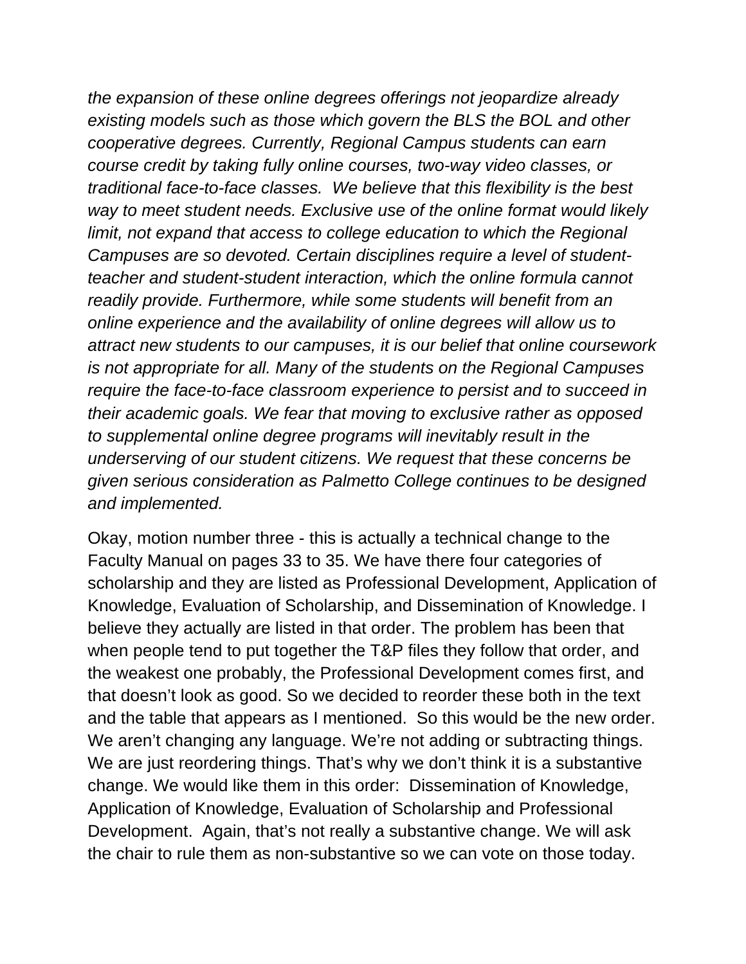*the expansion of these online degrees offerings not jeopardize already existing models such as those which govern the BLS the BOL and other cooperative degrees. Currently, Regional Campus students can earn course credit by taking fully online courses, two-way video classes, or traditional face-to-face classes. We believe that this flexibility is the best way to meet student needs. Exclusive use of the online format would likely limit, not expand that access to college education to which the Regional Campuses are so devoted. Certain disciplines require a level of studentteacher and student-student interaction, which the online formula cannot readily provide. Furthermore, while some students will benefit from an online experience and the availability of online degrees will allow us to attract new students to our campuses, it is our belief that online coursework is not appropriate for all. Many of the students on the Regional Campuses require the face-to-face classroom experience to persist and to succeed in their academic goals. We fear that moving to exclusive rather as opposed to supplemental online degree programs will inevitably result in the underserving of our student citizens. We request that these concerns be given serious consideration as Palmetto College continues to be designed and implemented.* 

Okay, motion number three - this is actually a technical change to the Faculty Manual on pages 33 to 35. We have there four categories of scholarship and they are listed as Professional Development, Application of Knowledge, Evaluation of Scholarship, and Dissemination of Knowledge. I believe they actually are listed in that order. The problem has been that when people tend to put together the T&P files they follow that order, and the weakest one probably, the Professional Development comes first, and that doesn't look as good. So we decided to reorder these both in the text and the table that appears as I mentioned. So this would be the new order. We aren't changing any language. We're not adding or subtracting things. We are just reordering things. That's why we don't think it is a substantive change. We would like them in this order: Dissemination of Knowledge, Application of Knowledge, Evaluation of Scholarship and Professional Development. Again, that's not really a substantive change. We will ask the chair to rule them as non-substantive so we can vote on those today.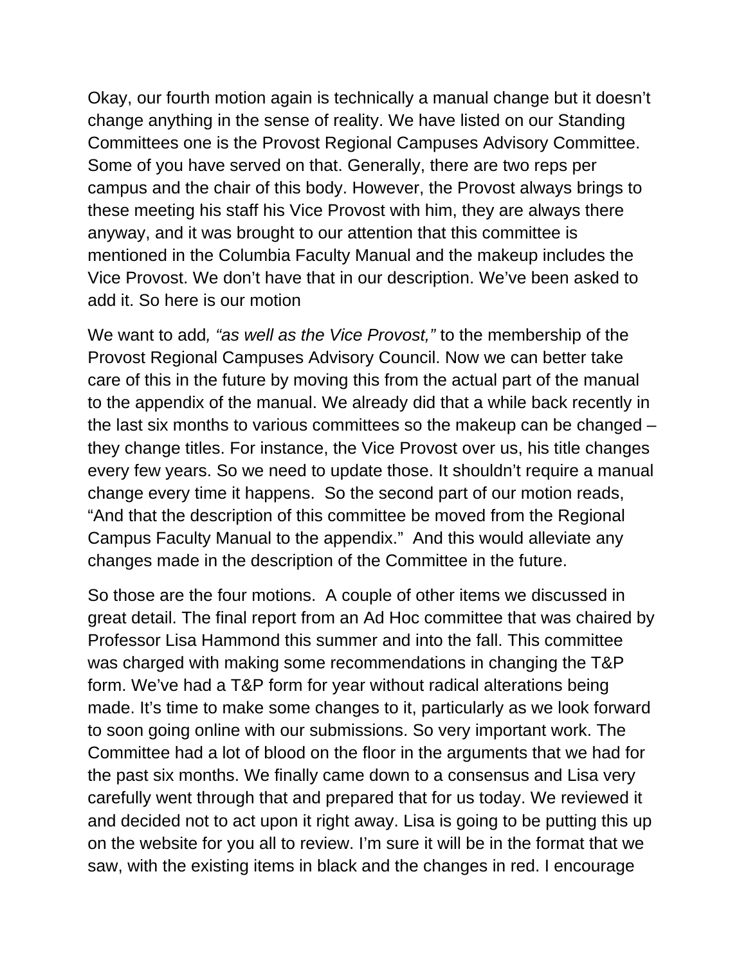Okay, our fourth motion again is technically a manual change but it doesn't change anything in the sense of reality. We have listed on our Standing Committees one is the Provost Regional Campuses Advisory Committee. Some of you have served on that. Generally, there are two reps per campus and the chair of this body. However, the Provost always brings to these meeting his staff his Vice Provost with him, they are always there anyway, and it was brought to our attention that this committee is mentioned in the Columbia Faculty Manual and the makeup includes the Vice Provost. We don't have that in our description. We've been asked to add it. So here is our motion

We want to add*, "as well as the Vice Provost,"* to the membership of the Provost Regional Campuses Advisory Council. Now we can better take care of this in the future by moving this from the actual part of the manual to the appendix of the manual. We already did that a while back recently in the last six months to various committees so the makeup can be changed – they change titles. For instance, the Vice Provost over us, his title changes every few years. So we need to update those. It shouldn't require a manual change every time it happens. So the second part of our motion reads, "And that the description of this committee be moved from the Regional Campus Faculty Manual to the appendix." And this would alleviate any changes made in the description of the Committee in the future.

So those are the four motions. A couple of other items we discussed in great detail. The final report from an Ad Hoc committee that was chaired by Professor Lisa Hammond this summer and into the fall. This committee was charged with making some recommendations in changing the T&P form. We've had a T&P form for year without radical alterations being made. It's time to make some changes to it, particularly as we look forward to soon going online with our submissions. So very important work. The Committee had a lot of blood on the floor in the arguments that we had for the past six months. We finally came down to a consensus and Lisa very carefully went through that and prepared that for us today. We reviewed it and decided not to act upon it right away. Lisa is going to be putting this up on the website for you all to review. I'm sure it will be in the format that we saw, with the existing items in black and the changes in red. I encourage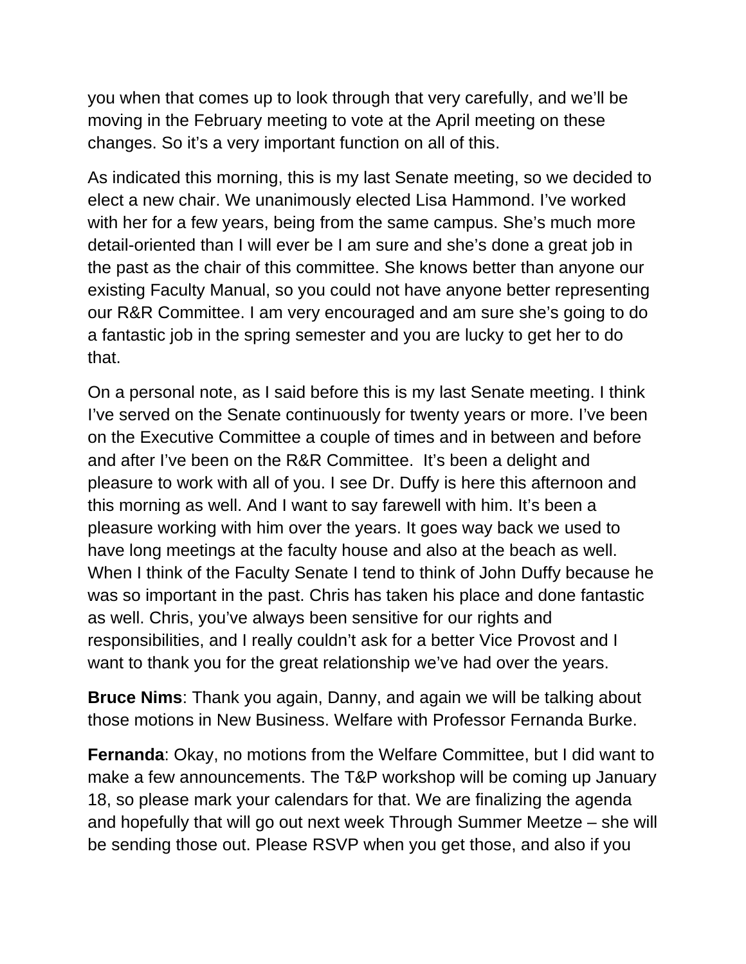you when that comes up to look through that very carefully, and we'll be moving in the February meeting to vote at the April meeting on these changes. So it's a very important function on all of this.

As indicated this morning, this is my last Senate meeting, so we decided to elect a new chair. We unanimously elected Lisa Hammond. I've worked with her for a few years, being from the same campus. She's much more detail-oriented than I will ever be I am sure and she's done a great job in the past as the chair of this committee. She knows better than anyone our existing Faculty Manual, so you could not have anyone better representing our R&R Committee. I am very encouraged and am sure she's going to do a fantastic job in the spring semester and you are lucky to get her to do that.

On a personal note, as I said before this is my last Senate meeting. I think I've served on the Senate continuously for twenty years or more. I've been on the Executive Committee a couple of times and in between and before and after I've been on the R&R Committee. It's been a delight and pleasure to work with all of you. I see Dr. Duffy is here this afternoon and this morning as well. And I want to say farewell with him. It's been a pleasure working with him over the years. It goes way back we used to have long meetings at the faculty house and also at the beach as well. When I think of the Faculty Senate I tend to think of John Duffy because he was so important in the past. Chris has taken his place and done fantastic as well. Chris, you've always been sensitive for our rights and responsibilities, and I really couldn't ask for a better Vice Provost and I want to thank you for the great relationship we've had over the years.

**Bruce Nims**: Thank you again, Danny, and again we will be talking about those motions in New Business. Welfare with Professor Fernanda Burke.

**Fernanda**: Okay, no motions from the Welfare Committee, but I did want to make a few announcements. The T&P workshop will be coming up January 18, so please mark your calendars for that. We are finalizing the agenda and hopefully that will go out next week Through Summer Meetze – she will be sending those out. Please RSVP when you get those, and also if you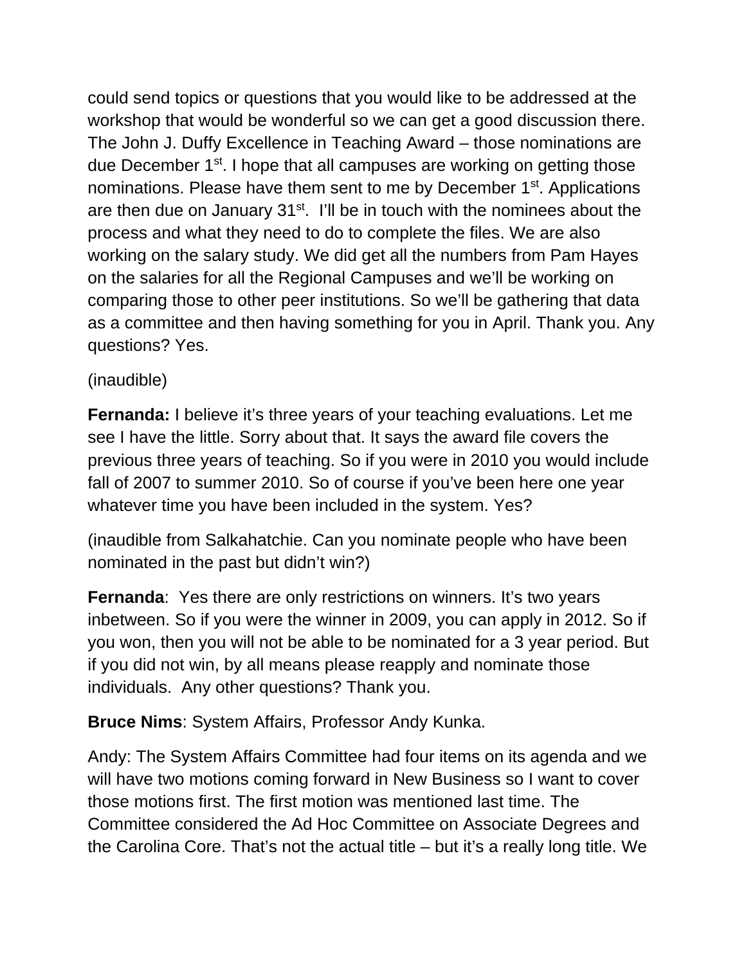could send topics or questions that you would like to be addressed at the workshop that would be wonderful so we can get a good discussion there. The John J. Duffy Excellence in Teaching Award – those nominations are due December 1<sup>st</sup>. I hope that all campuses are working on getting those nominations. Please have them sent to me by December 1<sup>st</sup>. Applications are then due on January  $31<sup>st</sup>$ . I'll be in touch with the nominees about the process and what they need to do to complete the files. We are also working on the salary study. We did get all the numbers from Pam Hayes on the salaries for all the Regional Campuses and we'll be working on comparing those to other peer institutions. So we'll be gathering that data as a committee and then having something for you in April. Thank you. Any questions? Yes.

## (inaudible)

**Fernanda:** I believe it's three years of your teaching evaluations. Let me see I have the little. Sorry about that. It says the award file covers the previous three years of teaching. So if you were in 2010 you would include fall of 2007 to summer 2010. So of course if you've been here one year whatever time you have been included in the system. Yes?

(inaudible from Salkahatchie. Can you nominate people who have been nominated in the past but didn't win?)

**Fernanda:** Yes there are only restrictions on winners. It's two years inbetween. So if you were the winner in 2009, you can apply in 2012. So if you won, then you will not be able to be nominated for a 3 year period. But if you did not win, by all means please reapply and nominate those individuals. Any other questions? Thank you.

**Bruce Nims**: System Affairs, Professor Andy Kunka.

Andy: The System Affairs Committee had four items on its agenda and we will have two motions coming forward in New Business so I want to cover those motions first. The first motion was mentioned last time. The Committee considered the Ad Hoc Committee on Associate Degrees and the Carolina Core. That's not the actual title – but it's a really long title. We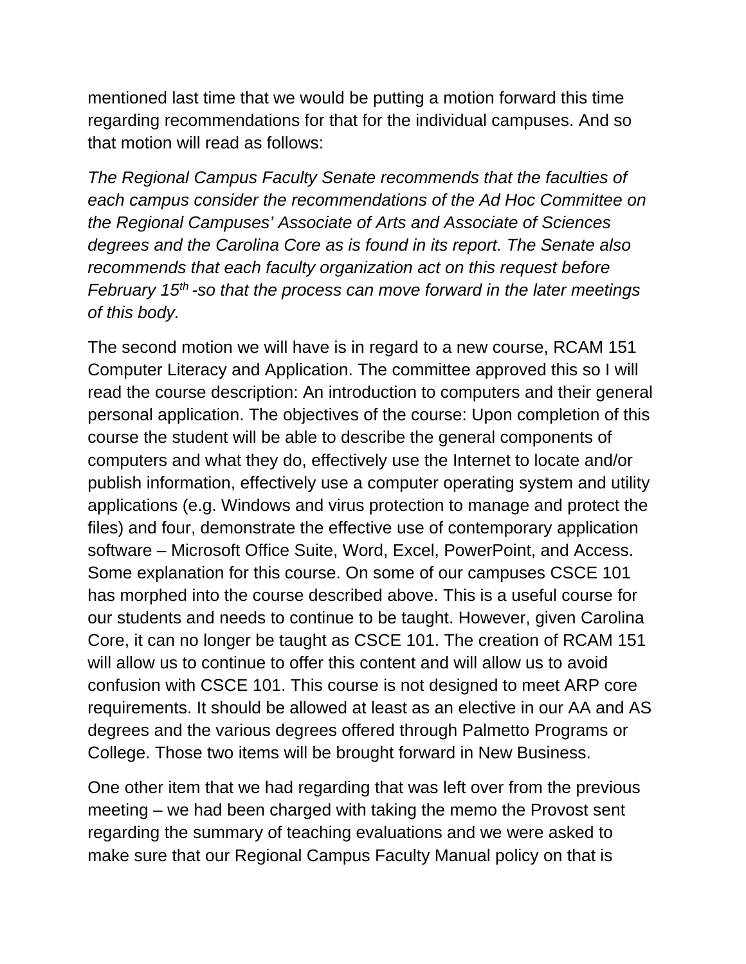mentioned last time that we would be putting a motion forward this time regarding recommendations for that for the individual campuses. And so that motion will read as follows:

*The Regional Campus Faculty Senate recommends that the faculties of each campus consider the recommendations of the Ad Hoc Committee on the Regional Campuses' Associate of Arts and Associate of Sciences degrees and the Carolina Core as is found in its report. The Senate also recommends that each faculty organization act on this request before February 15th -so that the process can move forward in the later meetings of this body.* 

The second motion we will have is in regard to a new course, RCAM 151 Computer Literacy and Application. The committee approved this so I will read the course description: An introduction to computers and their general personal application. The objectives of the course: Upon completion of this course the student will be able to describe the general components of computers and what they do, effectively use the Internet to locate and/or publish information, effectively use a computer operating system and utility applications (e.g. Windows and virus protection to manage and protect the files) and four, demonstrate the effective use of contemporary application software – Microsoft Office Suite, Word, Excel, PowerPoint, and Access. Some explanation for this course. On some of our campuses CSCE 101 has morphed into the course described above. This is a useful course for our students and needs to continue to be taught. However, given Carolina Core, it can no longer be taught as CSCE 101. The creation of RCAM 151 will allow us to continue to offer this content and will allow us to avoid confusion with CSCE 101. This course is not designed to meet ARP core requirements. It should be allowed at least as an elective in our AA and AS degrees and the various degrees offered through Palmetto Programs or College. Those two items will be brought forward in New Business.

One other item that we had regarding that was left over from the previous meeting – we had been charged with taking the memo the Provost sent regarding the summary of teaching evaluations and we were asked to make sure that our Regional Campus Faculty Manual policy on that is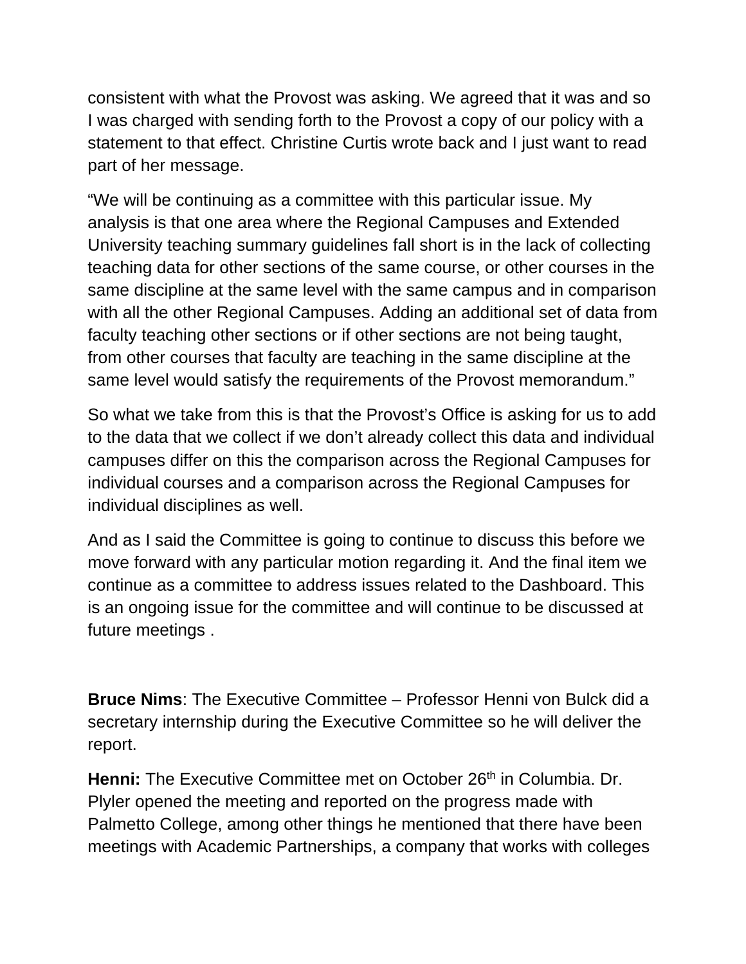consistent with what the Provost was asking. We agreed that it was and so I was charged with sending forth to the Provost a copy of our policy with a statement to that effect. Christine Curtis wrote back and I just want to read part of her message.

"We will be continuing as a committee with this particular issue. My analysis is that one area where the Regional Campuses and Extended University teaching summary guidelines fall short is in the lack of collecting teaching data for other sections of the same course, or other courses in the same discipline at the same level with the same campus and in comparison with all the other Regional Campuses. Adding an additional set of data from faculty teaching other sections or if other sections are not being taught, from other courses that faculty are teaching in the same discipline at the same level would satisfy the requirements of the Provost memorandum."

So what we take from this is that the Provost's Office is asking for us to add to the data that we collect if we don't already collect this data and individual campuses differ on this the comparison across the Regional Campuses for individual courses and a comparison across the Regional Campuses for individual disciplines as well.

And as I said the Committee is going to continue to discuss this before we move forward with any particular motion regarding it. And the final item we continue as a committee to address issues related to the Dashboard. This is an ongoing issue for the committee and will continue to be discussed at future meetings .

**Bruce Nims**: The Executive Committee – Professor Henni von Bulck did a secretary internship during the Executive Committee so he will deliver the report.

Henni: The Executive Committee met on October 26<sup>th</sup> in Columbia. Dr. Plyler opened the meeting and reported on the progress made with Palmetto College, among other things he mentioned that there have been meetings with Academic Partnerships, a company that works with colleges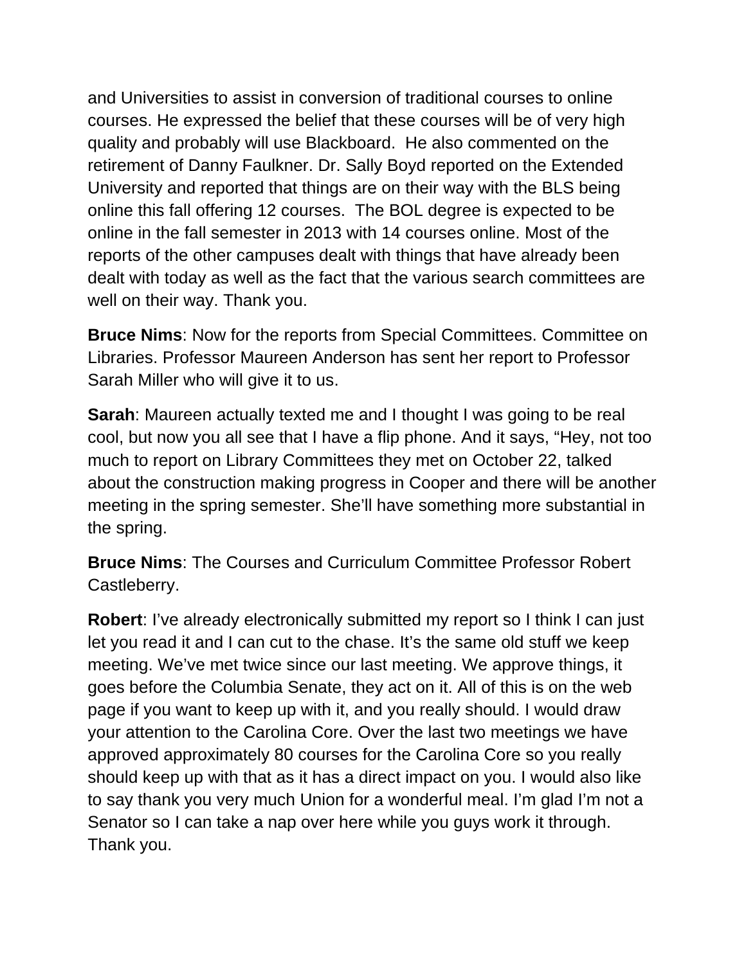and Universities to assist in conversion of traditional courses to online courses. He expressed the belief that these courses will be of very high quality and probably will use Blackboard. He also commented on the retirement of Danny Faulkner. Dr. Sally Boyd reported on the Extended University and reported that things are on their way with the BLS being online this fall offering 12 courses. The BOL degree is expected to be online in the fall semester in 2013 with 14 courses online. Most of the reports of the other campuses dealt with things that have already been dealt with today as well as the fact that the various search committees are well on their way. Thank you.

**Bruce Nims**: Now for the reports from Special Committees. Committee on Libraries. Professor Maureen Anderson has sent her report to Professor Sarah Miller who will give it to us.

**Sarah**: Maureen actually texted me and I thought I was going to be real cool, but now you all see that I have a flip phone. And it says, "Hey, not too much to report on Library Committees they met on October 22, talked about the construction making progress in Cooper and there will be another meeting in the spring semester. She'll have something more substantial in the spring.

**Bruce Nims**: The Courses and Curriculum Committee Professor Robert Castleberry.

**Robert**: I've already electronically submitted my report so I think I can just let you read it and I can cut to the chase. It's the same old stuff we keep meeting. We've met twice since our last meeting. We approve things, it goes before the Columbia Senate, they act on it. All of this is on the web page if you want to keep up with it, and you really should. I would draw your attention to the Carolina Core. Over the last two meetings we have approved approximately 80 courses for the Carolina Core so you really should keep up with that as it has a direct impact on you. I would also like to say thank you very much Union for a wonderful meal. I'm glad I'm not a Senator so I can take a nap over here while you guys work it through. Thank you.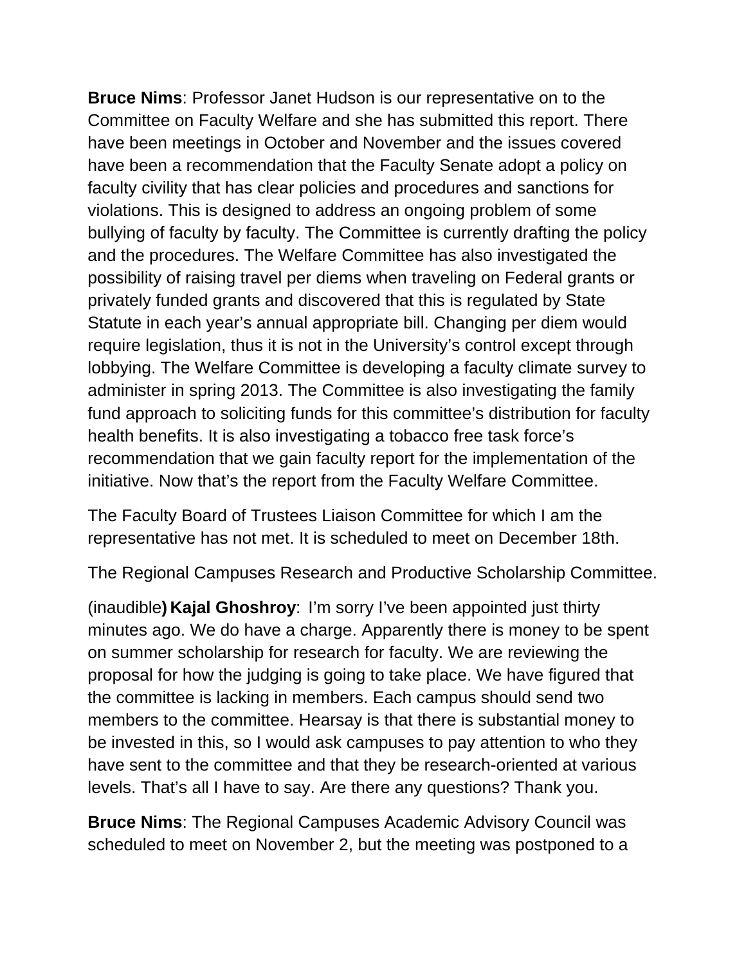**Bruce Nims**: Professor Janet Hudson is our representative on to the Committee on Faculty Welfare and she has submitted this report. There have been meetings in October and November and the issues covered have been a recommendation that the Faculty Senate adopt a policy on faculty civility that has clear policies and procedures and sanctions for violations. This is designed to address an ongoing problem of some bullying of faculty by faculty. The Committee is currently drafting the policy and the procedures. The Welfare Committee has also investigated the possibility of raising travel per diems when traveling on Federal grants or privately funded grants and discovered that this is regulated by State Statute in each year's annual appropriate bill. Changing per diem would require legislation, thus it is not in the University's control except through lobbying. The Welfare Committee is developing a faculty climate survey to administer in spring 2013. The Committee is also investigating the family fund approach to soliciting funds for this committee's distribution for faculty health benefits. It is also investigating a tobacco free task force's recommendation that we gain faculty report for the implementation of the initiative. Now that's the report from the Faculty Welfare Committee.

The Faculty Board of Trustees Liaison Committee for which I am the representative has not met. It is scheduled to meet on December 18th.

The Regional Campuses Research and Productive Scholarship Committee.

(inaudible**) Kajal Ghoshroy**: I'm sorry I've been appointed just thirty minutes ago. We do have a charge. Apparently there is money to be spent on summer scholarship for research for faculty. We are reviewing the proposal for how the judging is going to take place. We have figured that the committee is lacking in members. Each campus should send two members to the committee. Hearsay is that there is substantial money to be invested in this, so I would ask campuses to pay attention to who they have sent to the committee and that they be research-oriented at various levels. That's all I have to say. Are there any questions? Thank you.

**Bruce Nims**: The Regional Campuses Academic Advisory Council was scheduled to meet on November 2, but the meeting was postponed to a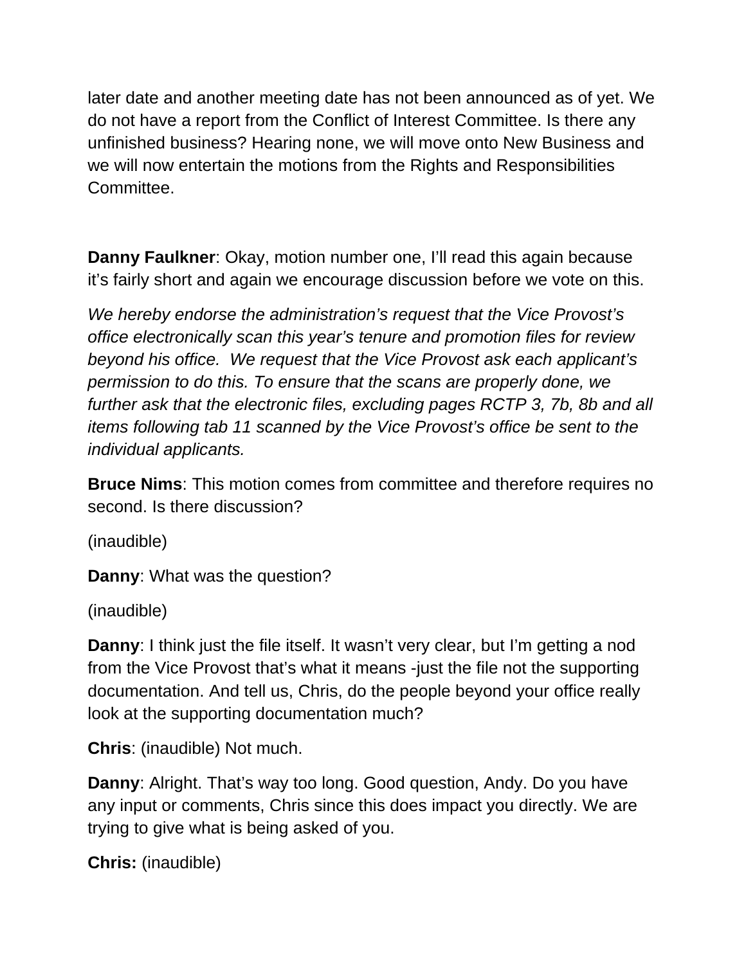later date and another meeting date has not been announced as of yet. We do not have a report from the Conflict of Interest Committee. Is there any unfinished business? Hearing none, we will move onto New Business and we will now entertain the motions from the Rights and Responsibilities Committee.

**Danny Faulkner**: Okay, motion number one, I'll read this again because it's fairly short and again we encourage discussion before we vote on this.

*We hereby endorse the administration's request that the Vice Provost's office electronically scan this year's tenure and promotion files for review beyond his office. We request that the Vice Provost ask each applicant's permission to do this. To ensure that the scans are properly done, we further ask that the electronic files, excluding pages RCTP 3, 7b, 8b and all items following tab 11 scanned by the Vice Provost's office be sent to the individual applicants.* 

**Bruce Nims**: This motion comes from committee and therefore requires no second. Is there discussion?

(inaudible)

**Danny**: What was the question?

(inaudible)

**Danny:** I think just the file itself. It wasn't very clear, but I'm getting a nod from the Vice Provost that's what it means -just the file not the supporting documentation. And tell us, Chris, do the people beyond your office really look at the supporting documentation much?

**Chris**: (inaudible) Not much.

**Danny**: Alright. That's way too long. Good question, Andy. Do you have any input or comments, Chris since this does impact you directly. We are trying to give what is being asked of you.

**Chris:** (inaudible)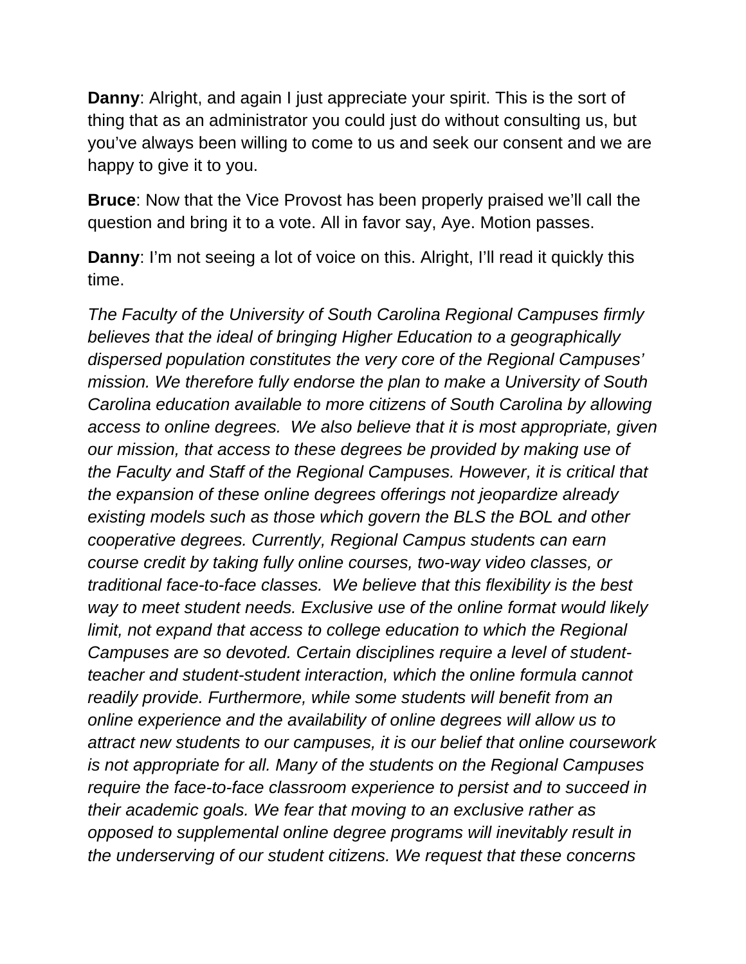**Danny**: Alright, and again I just appreciate your spirit. This is the sort of thing that as an administrator you could just do without consulting us, but you've always been willing to come to us and seek our consent and we are happy to give it to you.

**Bruce**: Now that the Vice Provost has been properly praised we'll call the question and bring it to a vote. All in favor say, Aye. Motion passes.

**Danny:** I'm not seeing a lot of voice on this. Alright, I'll read it quickly this time.

*The Faculty of the University of South Carolina Regional Campuses firmly believes that the ideal of bringing Higher Education to a geographically dispersed population constitutes the very core of the Regional Campuses' mission. We therefore fully endorse the plan to make a University of South Carolina education available to more citizens of South Carolina by allowing access to online degrees. We also believe that it is most appropriate, given our mission, that access to these degrees be provided by making use of the Faculty and Staff of the Regional Campuses. However, it is critical that the expansion of these online degrees offerings not jeopardize already existing models such as those which govern the BLS the BOL and other cooperative degrees. Currently, Regional Campus students can earn course credit by taking fully online courses, two-way video classes, or traditional face-to-face classes. We believe that this flexibility is the best way to meet student needs. Exclusive use of the online format would likely limit, not expand that access to college education to which the Regional Campuses are so devoted. Certain disciplines require a level of studentteacher and student-student interaction, which the online formula cannot readily provide. Furthermore, while some students will benefit from an online experience and the availability of online degrees will allow us to attract new students to our campuses, it is our belief that online coursework is not appropriate for all. Many of the students on the Regional Campuses require the face-to-face classroom experience to persist and to succeed in their academic goals. We fear that moving to an exclusive rather as opposed to supplemental online degree programs will inevitably result in the underserving of our student citizens. We request that these concerns*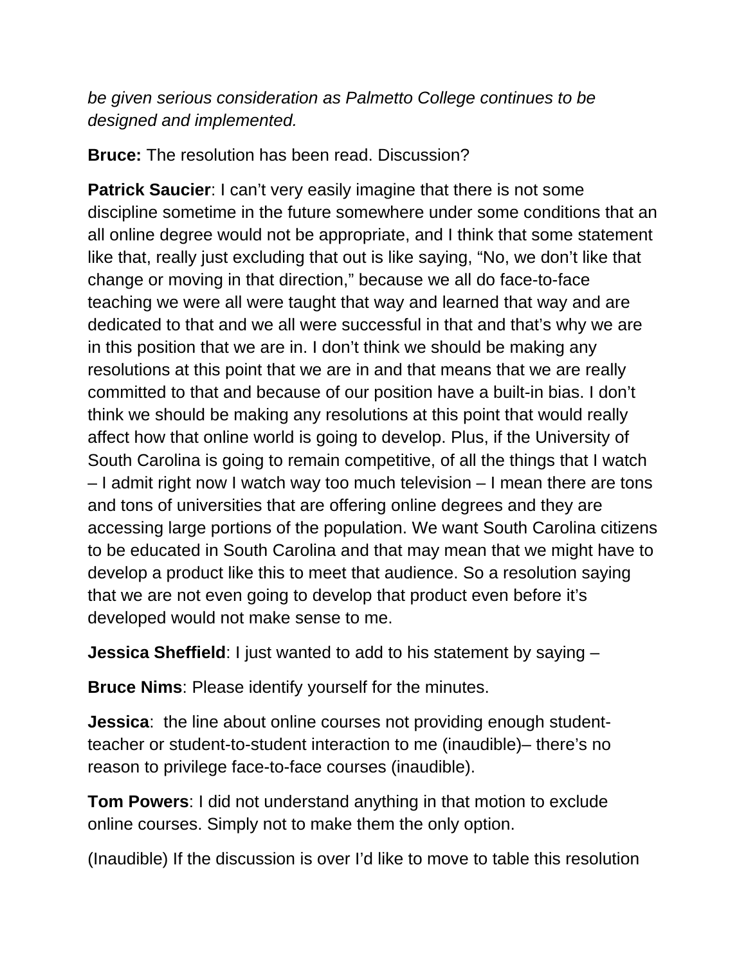*be given serious consideration as Palmetto College continues to be designed and implemented.* 

**Bruce:** The resolution has been read. Discussion?

**Patrick Saucier**: I can't very easily imagine that there is not some discipline sometime in the future somewhere under some conditions that an all online degree would not be appropriate, and I think that some statement like that, really just excluding that out is like saying, "No, we don't like that change or moving in that direction," because we all do face-to-face teaching we were all were taught that way and learned that way and are dedicated to that and we all were successful in that and that's why we are in this position that we are in. I don't think we should be making any resolutions at this point that we are in and that means that we are really committed to that and because of our position have a built-in bias. I don't think we should be making any resolutions at this point that would really affect how that online world is going to develop. Plus, if the University of South Carolina is going to remain competitive, of all the things that I watch – I admit right now I watch way too much television – I mean there are tons and tons of universities that are offering online degrees and they are accessing large portions of the population. We want South Carolina citizens to be educated in South Carolina and that may mean that we might have to develop a product like this to meet that audience. So a resolution saying that we are not even going to develop that product even before it's developed would not make sense to me.

**Jessica Sheffield**: I just wanted to add to his statement by saying –

**Bruce Nims**: Please identify yourself for the minutes.

**Jessica**: the line about online courses not providing enough studentteacher or student-to-student interaction to me (inaudible)– there's no reason to privilege face-to-face courses (inaudible).

**Tom Powers**: I did not understand anything in that motion to exclude online courses. Simply not to make them the only option.

(Inaudible) If the discussion is over I'd like to move to table this resolution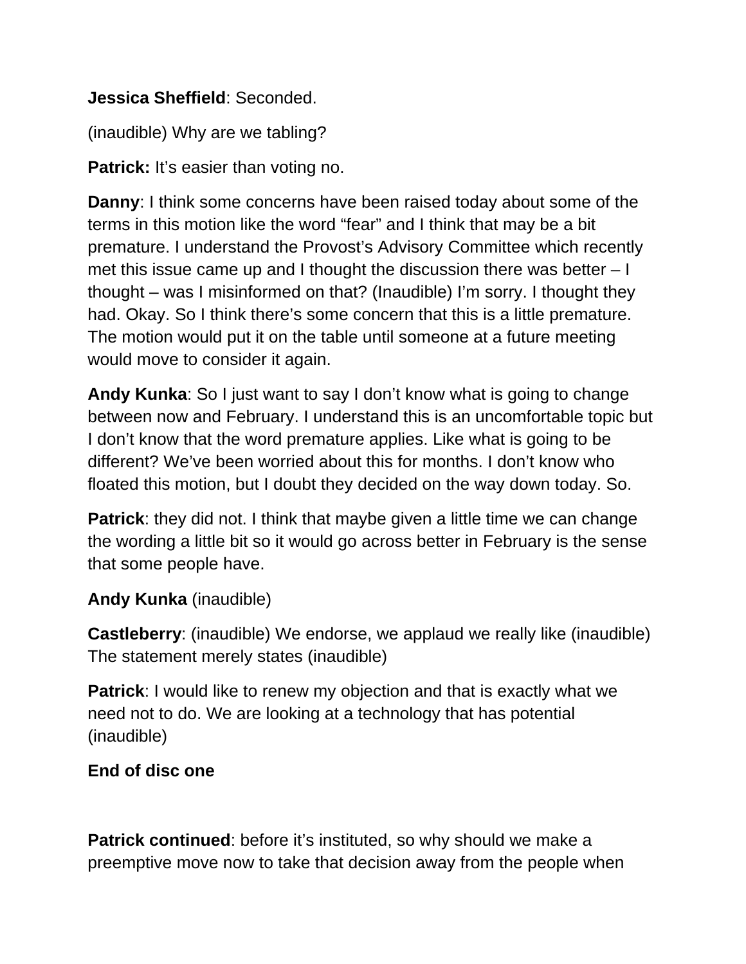## **Jessica Sheffield**: Seconded.

(inaudible) Why are we tabling?

**Patrick:** It's easier than voting no.

**Danny**: I think some concerns have been raised today about some of the terms in this motion like the word "fear" and I think that may be a bit premature. I understand the Provost's Advisory Committee which recently met this issue came up and I thought the discussion there was better – I thought – was I misinformed on that? (Inaudible) I'm sorry. I thought they had. Okay. So I think there's some concern that this is a little premature. The motion would put it on the table until someone at a future meeting would move to consider it again.

**Andy Kunka**: So I just want to say I don't know what is going to change between now and February. I understand this is an uncomfortable topic but I don't know that the word premature applies. Like what is going to be different? We've been worried about this for months. I don't know who floated this motion, but I doubt they decided on the way down today. So.

**Patrick**: they did not. I think that maybe given a little time we can change the wording a little bit so it would go across better in February is the sense that some people have.

# **Andy Kunka** (inaudible)

**Castleberry**: (inaudible) We endorse, we applaud we really like (inaudible) The statement merely states (inaudible)

**Patrick**: I would like to renew my objection and that is exactly what we need not to do. We are looking at a technology that has potential (inaudible)

# **End of disc one**

**Patrick continued:** before it's instituted, so why should we make a preemptive move now to take that decision away from the people when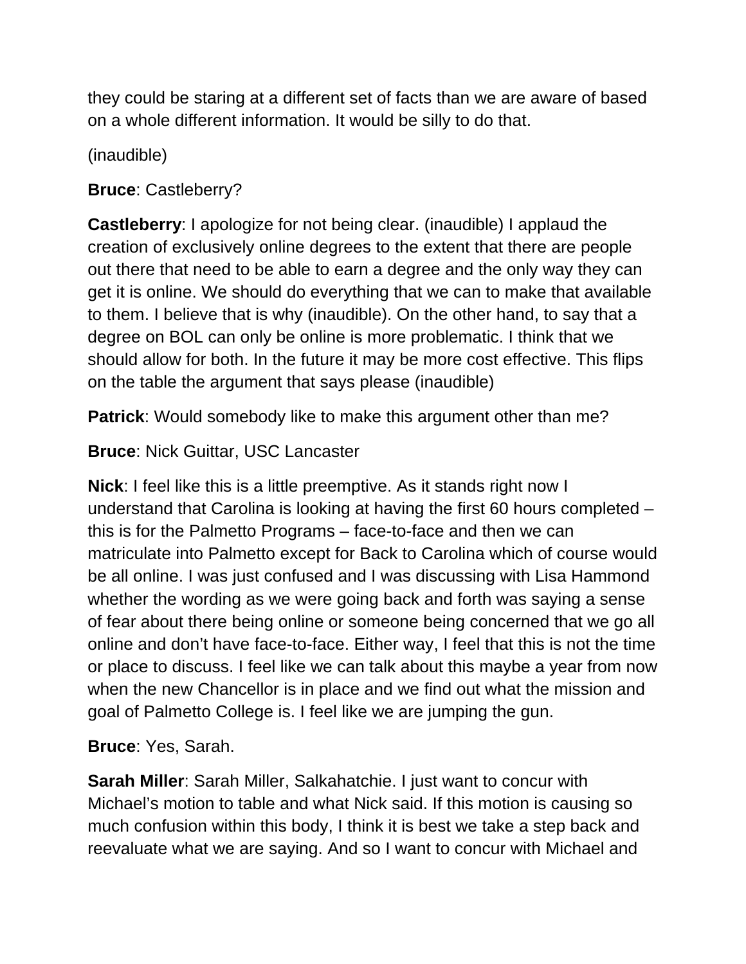they could be staring at a different set of facts than we are aware of based on a whole different information. It would be silly to do that.

(inaudible)

# **Bruce**: Castleberry?

**Castleberry**: I apologize for not being clear. (inaudible) I applaud the creation of exclusively online degrees to the extent that there are people out there that need to be able to earn a degree and the only way they can get it is online. We should do everything that we can to make that available to them. I believe that is why (inaudible). On the other hand, to say that a degree on BOL can only be online is more problematic. I think that we should allow for both. In the future it may be more cost effective. This flips on the table the argument that says please (inaudible)

**Patrick**: Would somebody like to make this argument other than me?

# **Bruce**: Nick Guittar, USC Lancaster

**Nick**: I feel like this is a little preemptive. As it stands right now I understand that Carolina is looking at having the first 60 hours completed – this is for the Palmetto Programs – face-to-face and then we can matriculate into Palmetto except for Back to Carolina which of course would be all online. I was just confused and I was discussing with Lisa Hammond whether the wording as we were going back and forth was saying a sense of fear about there being online or someone being concerned that we go all online and don't have face-to-face. Either way, I feel that this is not the time or place to discuss. I feel like we can talk about this maybe a year from now when the new Chancellor is in place and we find out what the mission and goal of Palmetto College is. I feel like we are jumping the gun.

**Bruce**: Yes, Sarah.

**Sarah Miller**: Sarah Miller, Salkahatchie. I just want to concur with Michael's motion to table and what Nick said. If this motion is causing so much confusion within this body, I think it is best we take a step back and reevaluate what we are saying. And so I want to concur with Michael and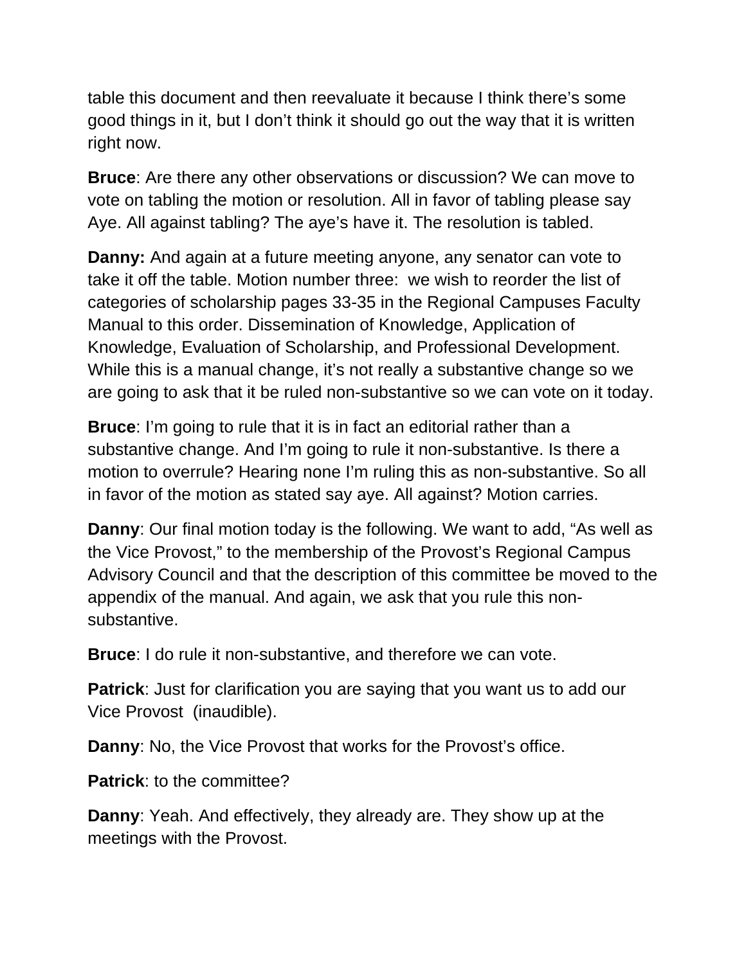table this document and then reevaluate it because I think there's some good things in it, but I don't think it should go out the way that it is written right now.

**Bruce**: Are there any other observations or discussion? We can move to vote on tabling the motion or resolution. All in favor of tabling please say Aye. All against tabling? The aye's have it. The resolution is tabled.

**Danny:** And again at a future meeting anyone, any senator can vote to take it off the table. Motion number three: we wish to reorder the list of categories of scholarship pages 33-35 in the Regional Campuses Faculty Manual to this order. Dissemination of Knowledge, Application of Knowledge, Evaluation of Scholarship, and Professional Development. While this is a manual change, it's not really a substantive change so we are going to ask that it be ruled non-substantive so we can vote on it today.

**Bruce**: I'm going to rule that it is in fact an editorial rather than a substantive change. And I'm going to rule it non-substantive. Is there a motion to overrule? Hearing none I'm ruling this as non-substantive. So all in favor of the motion as stated say aye. All against? Motion carries.

**Danny**: Our final motion today is the following. We want to add, "As well as the Vice Provost," to the membership of the Provost's Regional Campus Advisory Council and that the description of this committee be moved to the appendix of the manual. And again, we ask that you rule this nonsubstantive.

**Bruce**: I do rule it non-substantive, and therefore we can vote.

**Patrick:** Just for clarification you are saying that you want us to add our Vice Provost (inaudible).

**Danny**: No, the Vice Provost that works for the Provost's office.

**Patrick:** to the committee?

**Danny**: Yeah. And effectively, they already are. They show up at the meetings with the Provost.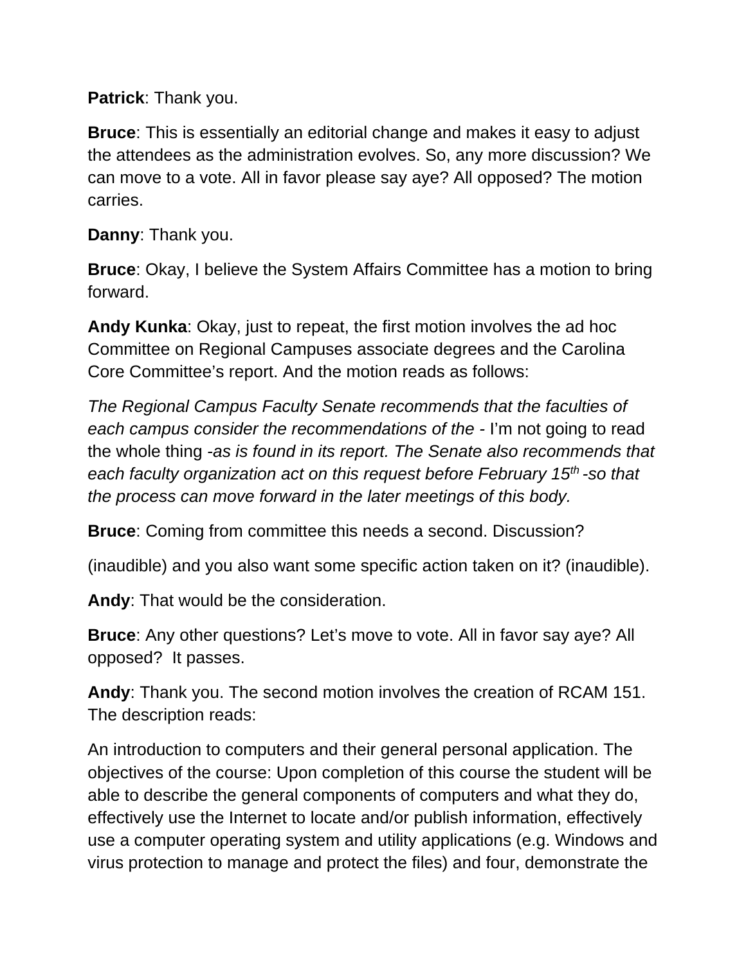**Patrick**: Thank you.

**Bruce**: This is essentially an editorial change and makes it easy to adjust the attendees as the administration evolves. So, any more discussion? We can move to a vote. All in favor please say aye? All opposed? The motion carries.

**Danny**: Thank you.

**Bruce**: Okay, I believe the System Affairs Committee has a motion to bring forward.

**Andy Kunka**: Okay, just to repeat, the first motion involves the ad hoc Committee on Regional Campuses associate degrees and the Carolina Core Committee's report. And the motion reads as follows:

*The Regional Campus Faculty Senate recommends that the faculties of each campus consider the recommendations of the -* I'm not going to read the whole thing *-as is found in its report. The Senate also recommends that*  each faculty organization act on this request before February 15<sup>th</sup> -so that *the process can move forward in the later meetings of this body.* 

**Bruce**: Coming from committee this needs a second. Discussion?

(inaudible) and you also want some specific action taken on it? (inaudible).

**Andy**: That would be the consideration.

**Bruce**: Any other questions? Let's move to vote. All in favor say aye? All opposed? It passes.

**Andy**: Thank you. The second motion involves the creation of RCAM 151. The description reads:

An introduction to computers and their general personal application. The objectives of the course: Upon completion of this course the student will be able to describe the general components of computers and what they do, effectively use the Internet to locate and/or publish information, effectively use a computer operating system and utility applications (e.g. Windows and virus protection to manage and protect the files) and four, demonstrate the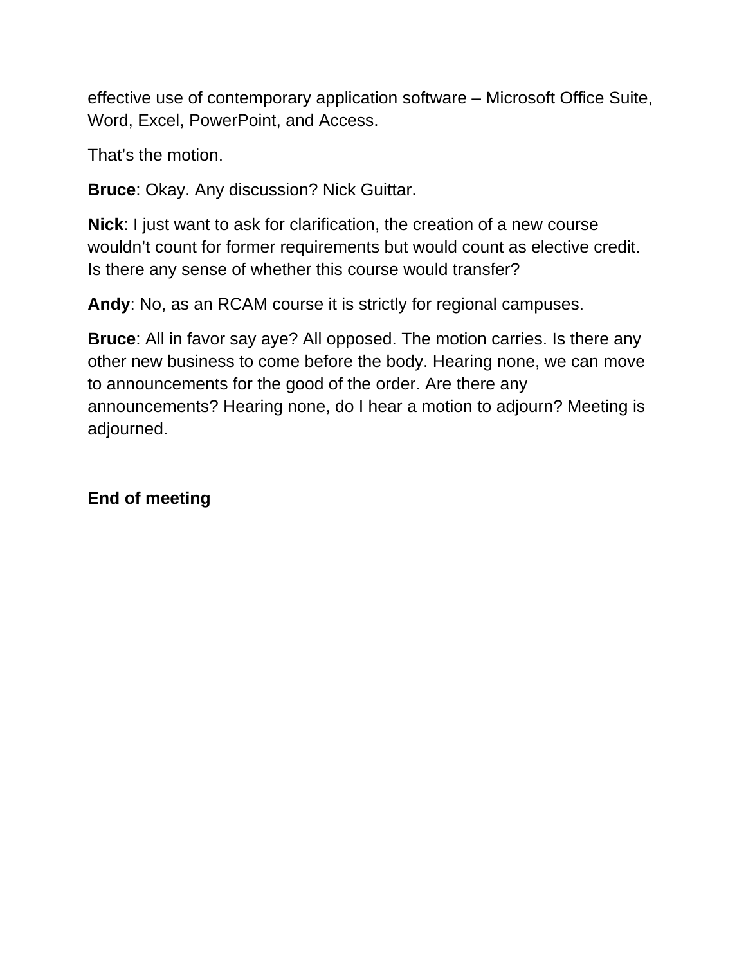effective use of contemporary application software – Microsoft Office Suite, Word, Excel, PowerPoint, and Access.

That's the motion.

**Bruce**: Okay. Any discussion? Nick Guittar.

**Nick**: I just want to ask for clarification, the creation of a new course wouldn't count for former requirements but would count as elective credit. Is there any sense of whether this course would transfer?

**Andy**: No, as an RCAM course it is strictly for regional campuses.

**Bruce**: All in favor say aye? All opposed. The motion carries. Is there any other new business to come before the body. Hearing none, we can move to announcements for the good of the order. Are there any announcements? Hearing none, do I hear a motion to adjourn? Meeting is adjourned.

**End of meeting**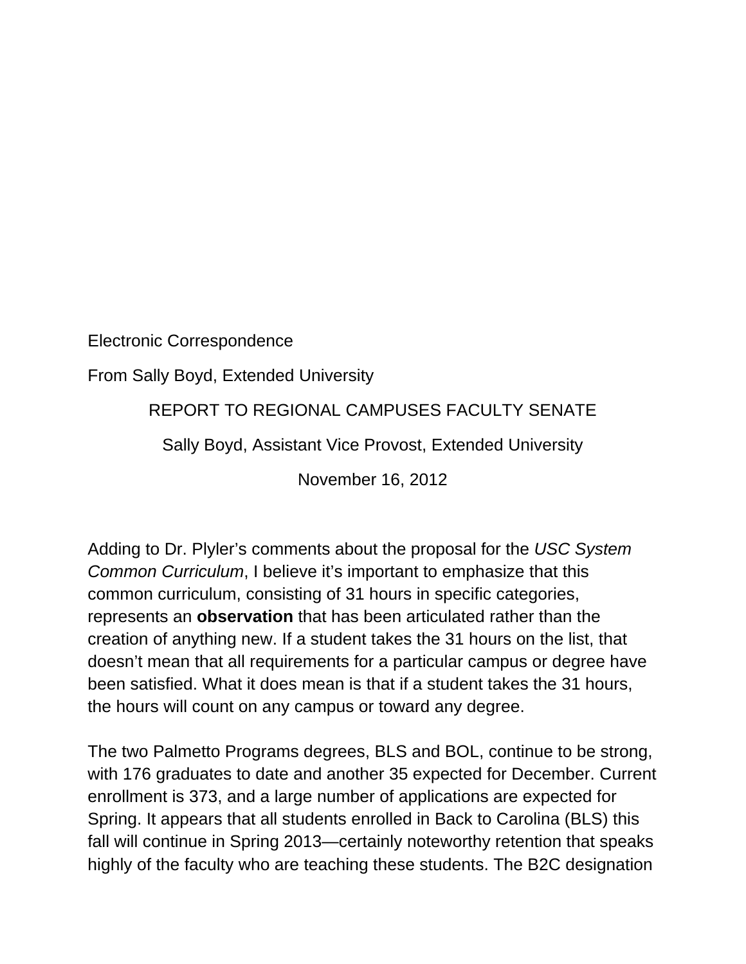Electronic Correspondence

From Sally Boyd, Extended University

REPORT TO REGIONAL CAMPUSES FACULTY SENATE

Sally Boyd, Assistant Vice Provost, Extended University

November 16, 2012

Adding to Dr. Plyler's comments about the proposal for the *USC System Common Curriculum*, I believe it's important to emphasize that this common curriculum, consisting of 31 hours in specific categories, represents an **observation** that has been articulated rather than the creation of anything new. If a student takes the 31 hours on the list, that doesn't mean that all requirements for a particular campus or degree have been satisfied. What it does mean is that if a student takes the 31 hours, the hours will count on any campus or toward any degree.

The two Palmetto Programs degrees, BLS and BOL, continue to be strong, with 176 graduates to date and another 35 expected for December. Current enrollment is 373, and a large number of applications are expected for Spring. It appears that all students enrolled in Back to Carolina (BLS) this fall will continue in Spring 2013—certainly noteworthy retention that speaks highly of the faculty who are teaching these students. The B2C designation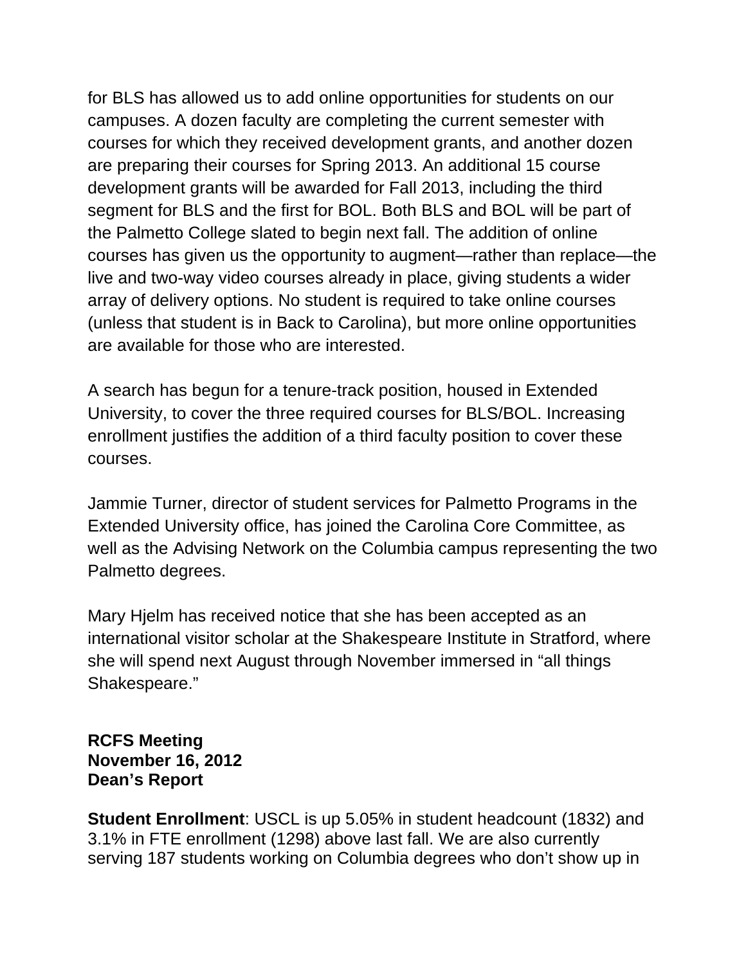for BLS has allowed us to add online opportunities for students on our campuses. A dozen faculty are completing the current semester with courses for which they received development grants, and another dozen are preparing their courses for Spring 2013. An additional 15 course development grants will be awarded for Fall 2013, including the third segment for BLS and the first for BOL. Both BLS and BOL will be part of the Palmetto College slated to begin next fall. The addition of online courses has given us the opportunity to augment—rather than replace—the live and two-way video courses already in place, giving students a wider array of delivery options. No student is required to take online courses (unless that student is in Back to Carolina), but more online opportunities are available for those who are interested.

A search has begun for a tenure-track position, housed in Extended University, to cover the three required courses for BLS/BOL. Increasing enrollment justifies the addition of a third faculty position to cover these courses.

Jammie Turner, director of student services for Palmetto Programs in the Extended University office, has joined the Carolina Core Committee, as well as the Advising Network on the Columbia campus representing the two Palmetto degrees.

Mary Hjelm has received notice that she has been accepted as an international visitor scholar at the Shakespeare Institute in Stratford, where she will spend next August through November immersed in "all things Shakespeare."

### **RCFS Meeting November 16, 2012 Dean's Report**

**Student Enrollment**: USCL is up 5.05% in student headcount (1832) and 3.1% in FTE enrollment (1298) above last fall. We are also currently serving 187 students working on Columbia degrees who don't show up in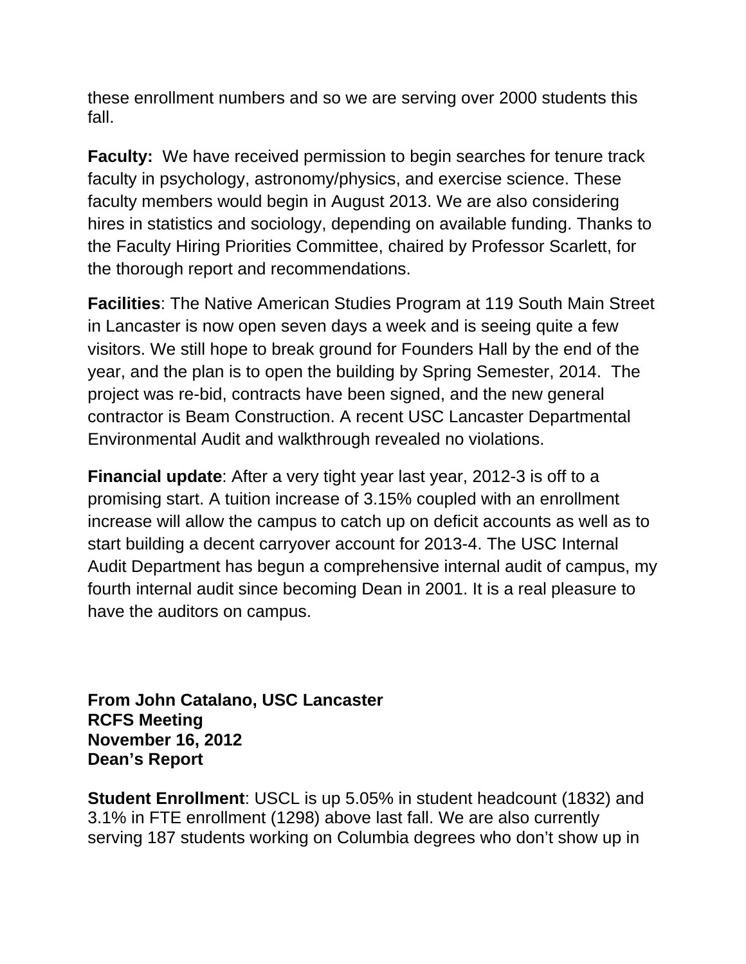these enrollment numbers and so we are serving over 2000 students this fall.

**Faculty:** We have received permission to begin searches for tenure track faculty in psychology, astronomy/physics, and exercise science. These faculty members would begin in August 2013. We are also considering hires in statistics and sociology, depending on available funding. Thanks to the Faculty Hiring Priorities Committee, chaired by Professor Scarlett, for the thorough report and recommendations.

**Facilities**: The Native American Studies Program at 119 South Main Street in Lancaster is now open seven days a week and is seeing quite a few visitors. We still hope to break ground for Founders Hall by the end of the year, and the plan is to open the building by Spring Semester, 2014. The project was re-bid, contracts have been signed, and the new general contractor is Beam Construction. A recent USC Lancaster Departmental Environmental Audit and walkthrough revealed no violations.

**Financial update**: After a very tight year last year, 2012-3 is off to a promising start. A tuition increase of 3.15% coupled with an enrollment increase will allow the campus to catch up on deficit accounts as well as to start building a decent carryover account for 2013-4. The USC Internal Audit Department has begun a comprehensive internal audit of campus, my fourth internal audit since becoming Dean in 2001. It is a real pleasure to have the auditors on campus.

**From John Catalano, USC Lancaster RCFS Meeting November 16, 2012 Dean's Report** 

**Student Enrollment**: USCL is up 5.05% in student headcount (1832) and 3.1% in FTE enrollment (1298) above last fall. We are also currently serving 187 students working on Columbia degrees who don't show up in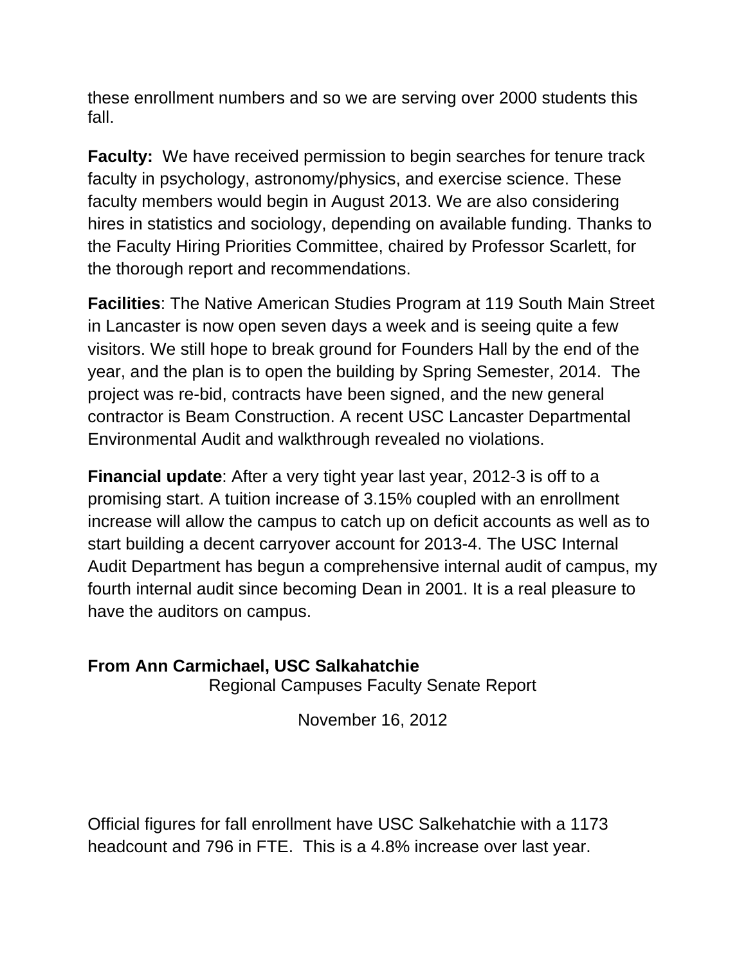these enrollment numbers and so we are serving over 2000 students this fall.

**Faculty:** We have received permission to begin searches for tenure track faculty in psychology, astronomy/physics, and exercise science. These faculty members would begin in August 2013. We are also considering hires in statistics and sociology, depending on available funding. Thanks to the Faculty Hiring Priorities Committee, chaired by Professor Scarlett, for the thorough report and recommendations.

**Facilities**: The Native American Studies Program at 119 South Main Street in Lancaster is now open seven days a week and is seeing quite a few visitors. We still hope to break ground for Founders Hall by the end of the year, and the plan is to open the building by Spring Semester, 2014. The project was re-bid, contracts have been signed, and the new general contractor is Beam Construction. A recent USC Lancaster Departmental Environmental Audit and walkthrough revealed no violations.

**Financial update**: After a very tight year last year, 2012-3 is off to a promising start. A tuition increase of 3.15% coupled with an enrollment increase will allow the campus to catch up on deficit accounts as well as to start building a decent carryover account for 2013-4. The USC Internal Audit Department has begun a comprehensive internal audit of campus, my fourth internal audit since becoming Dean in 2001. It is a real pleasure to have the auditors on campus.

## **From Ann Carmichael, USC Salkahatchie**

Regional Campuses Faculty Senate Report

November 16, 2012

Official figures for fall enrollment have USC Salkehatchie with a 1173 headcount and 796 in FTE. This is a 4.8% increase over last year.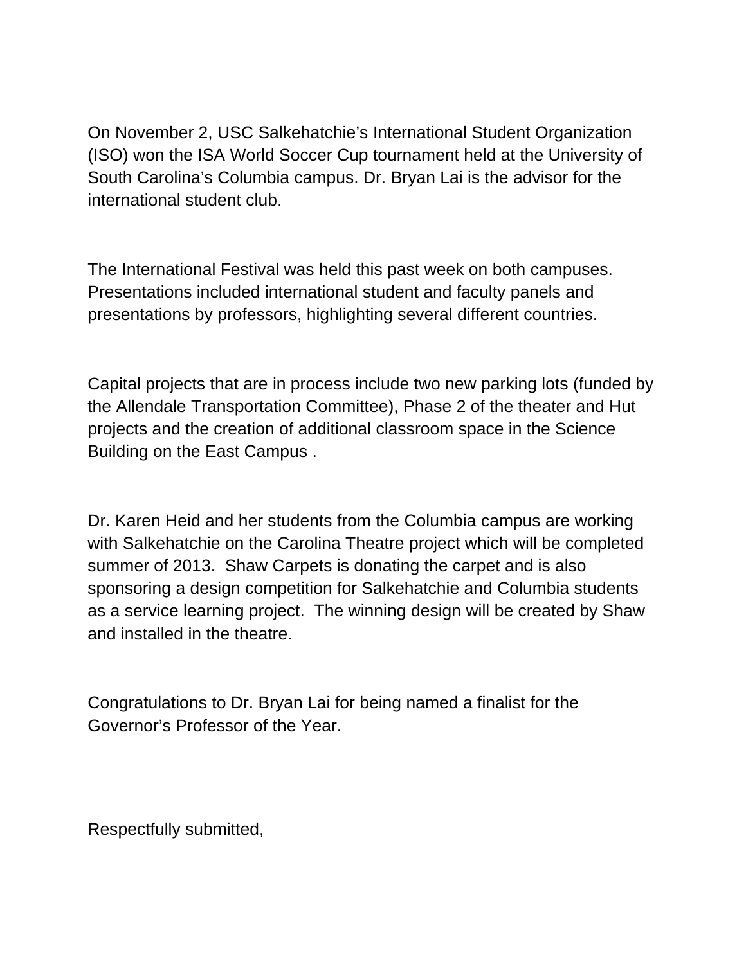On November 2, USC Salkehatchie's International Student Organization (ISO) won the ISA World Soccer Cup tournament held at the University of South Carolina's Columbia campus. Dr. Bryan Lai is the advisor for the international student club.

The International Festival was held this past week on both campuses. Presentations included international student and faculty panels and presentations by professors, highlighting several different countries.

Capital projects that are in process include two new parking lots (funded by the Allendale Transportation Committee), Phase 2 of the theater and Hut projects and the creation of additional classroom space in the Science Building on the East Campus .

Dr. Karen Heid and her students from the Columbia campus are working with Salkehatchie on the Carolina Theatre project which will be completed summer of 2013. Shaw Carpets is donating the carpet and is also sponsoring a design competition for Salkehatchie and Columbia students as a service learning project. The winning design will be created by Shaw and installed in the theatre.

Congratulations to Dr. Bryan Lai for being named a finalist for the Governor's Professor of the Year.

Respectfully submitted,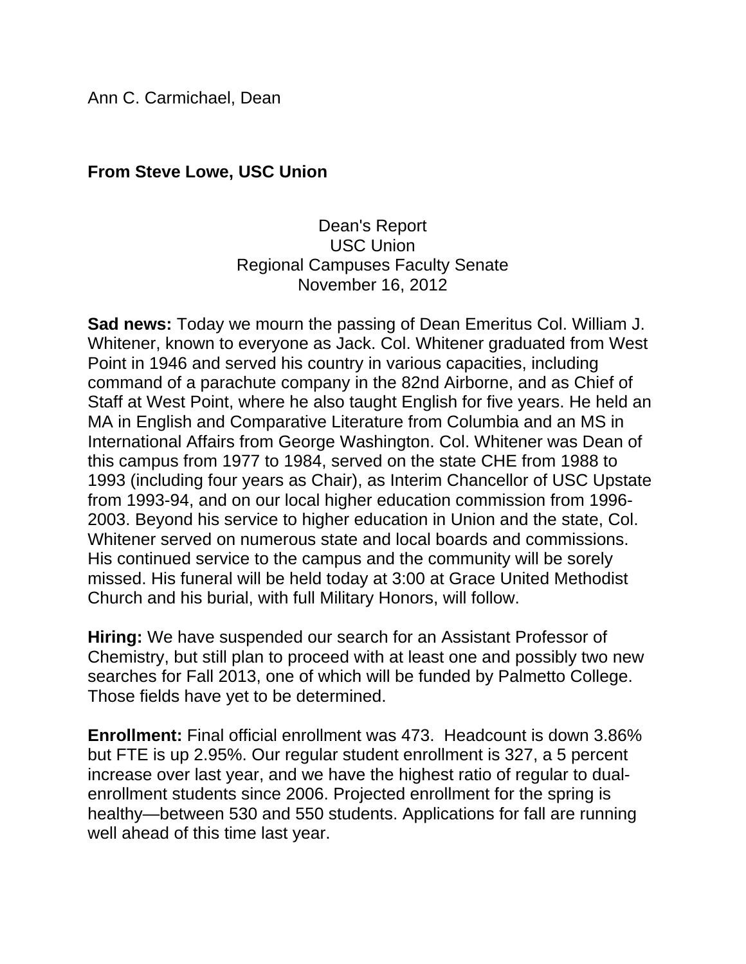Ann C. Carmichael, Dean

### **From Steve Lowe, USC Union**

### Dean's Report USC Union Regional Campuses Faculty Senate November 16, 2012

**Sad news:** Today we mourn the passing of Dean Emeritus Col. William J. Whitener, known to everyone as Jack. Col. Whitener graduated from West Point in 1946 and served his country in various capacities, including command of a parachute company in the 82nd Airborne, and as Chief of Staff at West Point, where he also taught English for five years. He held an MA in English and Comparative Literature from Columbia and an MS in International Affairs from George Washington. Col. Whitener was Dean of this campus from 1977 to 1984, served on the state CHE from 1988 to 1993 (including four years as Chair), as Interim Chancellor of USC Upstate from 1993-94, and on our local higher education commission from 1996- 2003. Beyond his service to higher education in Union and the state, Col. Whitener served on numerous state and local boards and commissions. His continued service to the campus and the community will be sorely missed. His funeral will be held today at 3:00 at Grace United Methodist Church and his burial, with full Military Honors, will follow.

**Hiring:** We have suspended our search for an Assistant Professor of Chemistry, but still plan to proceed with at least one and possibly two new searches for Fall 2013, one of which will be funded by Palmetto College. Those fields have yet to be determined.

**Enrollment:** Final official enrollment was 473. Headcount is down 3.86% but FTE is up 2.95%. Our regular student enrollment is 327, a 5 percent increase over last year, and we have the highest ratio of regular to dualenrollment students since 2006. Projected enrollment for the spring is healthy—between 530 and 550 students. Applications for fall are running well ahead of this time last year.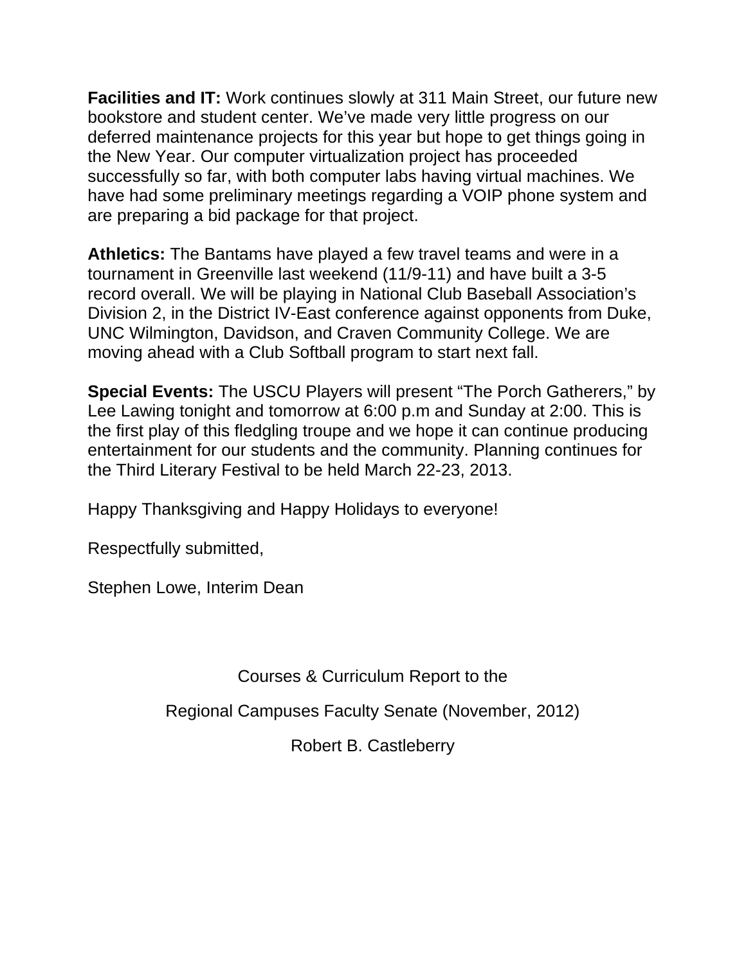**Facilities and IT:** Work continues slowly at 311 Main Street, our future new bookstore and student center. We've made very little progress on our deferred maintenance projects for this year but hope to get things going in the New Year. Our computer virtualization project has proceeded successfully so far, with both computer labs having virtual machines. We have had some preliminary meetings regarding a VOIP phone system and are preparing a bid package for that project.

**Athletics:** The Bantams have played a few travel teams and were in a tournament in Greenville last weekend (11/9-11) and have built a 3-5 record overall. We will be playing in National Club Baseball Association's Division 2, in the District IV-East conference against opponents from Duke, UNC Wilmington, Davidson, and Craven Community College. We are moving ahead with a Club Softball program to start next fall.

**Special Events:** The USCU Players will present "The Porch Gatherers," by Lee Lawing tonight and tomorrow at 6:00 p.m and Sunday at 2:00. This is the first play of this fledgling troupe and we hope it can continue producing entertainment for our students and the community. Planning continues for the Third Literary Festival to be held March 22-23, 2013.

Happy Thanksgiving and Happy Holidays to everyone!

Respectfully submitted,

Stephen Lowe, Interim Dean

Courses & Curriculum Report to the

Regional Campuses Faculty Senate (November, 2012)

Robert B. Castleberry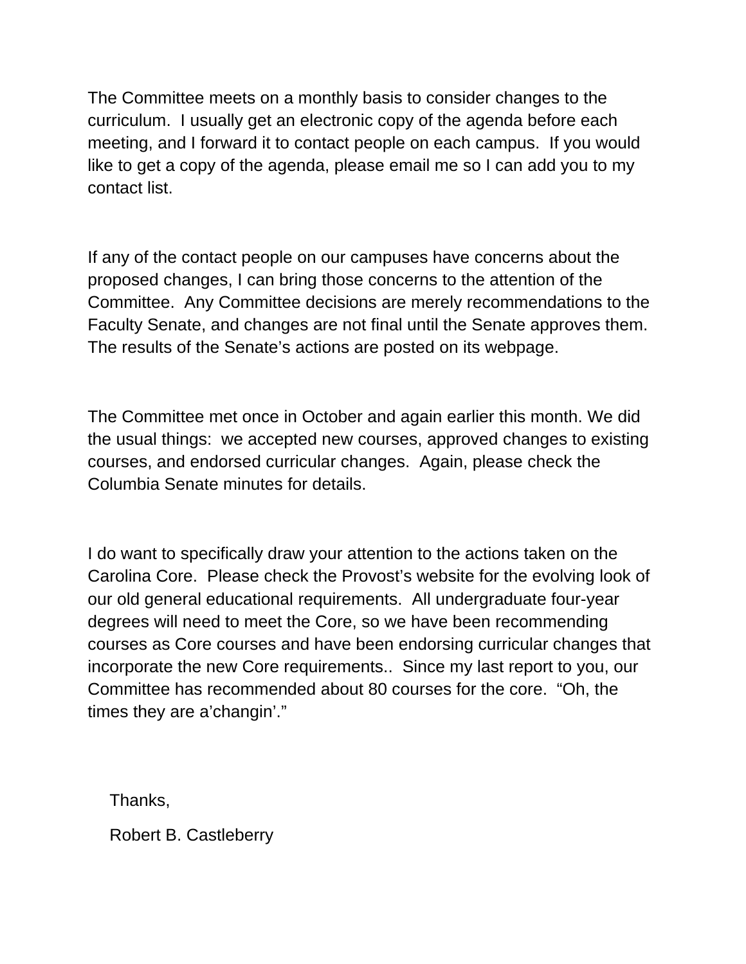The Committee meets on a monthly basis to consider changes to the curriculum. I usually get an electronic copy of the agenda before each meeting, and I forward it to contact people on each campus. If you would like to get a copy of the agenda, please email me so I can add you to my contact list.

If any of the contact people on our campuses have concerns about the proposed changes, I can bring those concerns to the attention of the Committee. Any Committee decisions are merely recommendations to the Faculty Senate, and changes are not final until the Senate approves them. The results of the Senate's actions are posted on its webpage.

The Committee met once in October and again earlier this month. We did the usual things: we accepted new courses, approved changes to existing courses, and endorsed curricular changes. Again, please check the Columbia Senate minutes for details.

I do want to specifically draw your attention to the actions taken on the Carolina Core. Please check the Provost's website for the evolving look of our old general educational requirements. All undergraduate four-year degrees will need to meet the Core, so we have been recommending courses as Core courses and have been endorsing curricular changes that incorporate the new Core requirements.. Since my last report to you, our Committee has recommended about 80 courses for the core. "Oh, the times they are a'changin'."

Thanks,

Robert B. Castleberry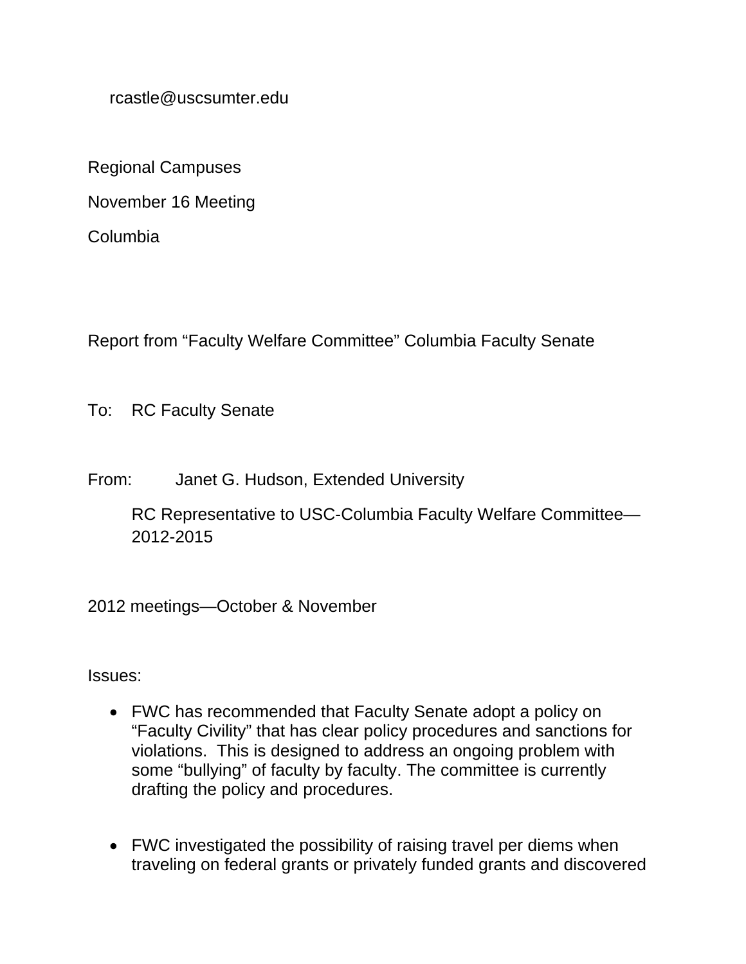rcastle@uscsumter.edu

Regional Campuses

November 16 Meeting

Columbia

Report from "Faculty Welfare Committee" Columbia Faculty Senate

To: RC Faculty Senate

From: Janet G. Hudson, Extended University

RC Representative to USC-Columbia Faculty Welfare Committee— 2012-2015

2012 meetings—October & November

Issues:

- FWC has recommended that Faculty Senate adopt a policy on "Faculty Civility" that has clear policy procedures and sanctions for violations. This is designed to address an ongoing problem with some "bullying" of faculty by faculty. The committee is currently drafting the policy and procedures.
- FWC investigated the possibility of raising travel per diems when traveling on federal grants or privately funded grants and discovered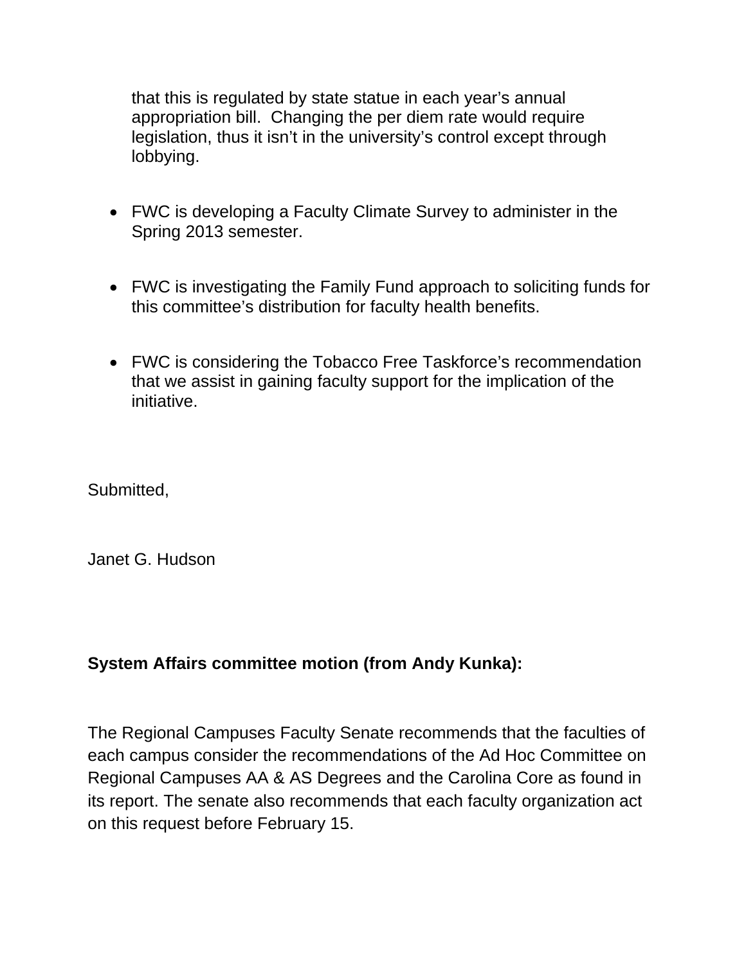that this is regulated by state statue in each year's annual appropriation bill. Changing the per diem rate would require legislation, thus it isn't in the university's control except through lobbying.

- FWC is developing a Faculty Climate Survey to administer in the Spring 2013 semester.
- FWC is investigating the Family Fund approach to soliciting funds for this committee's distribution for faculty health benefits.
- FWC is considering the Tobacco Free Taskforce's recommendation that we assist in gaining faculty support for the implication of the initiative.

Submitted,

Janet G. Hudson

### **System Affairs committee motion (from Andy Kunka):**

The Regional Campuses Faculty Senate recommends that the faculties of each campus consider the recommendations of the Ad Hoc Committee on Regional Campuses AA & AS Degrees and the Carolina Core as found in its report. The senate also recommends that each faculty organization act on this request before February 15.